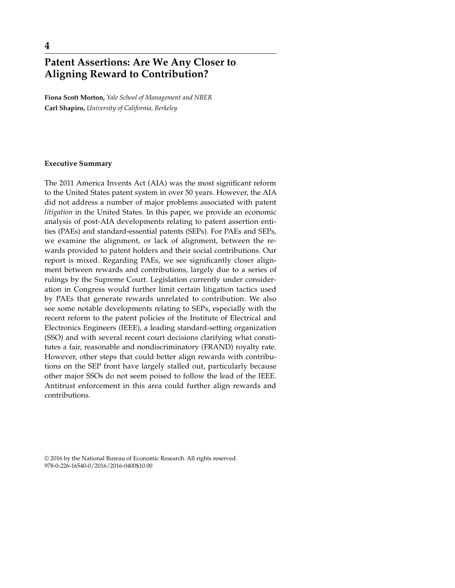# **Patent Assertions: Are We Any Closer to Aligning Reward to Contribution?**

**Fiona Scott Morton,** *Yale School of Management and NBER* **Carl Shapiro,** *University of California, Berkeley*

# **Executive Summary**

The 2011 America Invents Act (AIA) was the most significant reform to the United States patent system in over 50 years. However, the AIA did not address a number of major problems associated with patent *litigation* in the United States. In this paper, we provide an economic analysis of post-AIA developments relating to patent assertion entities (PAEs) and standard-essential patents (SEPs). For PAEs and SEPs, we examine the alignment, or lack of alignment, between the rewards provided to patent holders and their social contributions. Our report is mixed. Regarding PAEs, we see significantly closer alignment between rewards and contributions, largely due to a series of rulings by the Supreme Court. Legislation currently under consideration in Congress would further limit certain litigation tactics used by PAEs that generate rewards unrelated to contribution. We also see some notable developments relating to SEPs, especially with the recent reform to the patent policies of the Institute of Electrical and Electronics Engineers (IEEE), a leading standard- setting organization (SSO) and with several recent court decisions clarifying what constitutes a fair, reasonable and nondiscriminatory (FRAND) royalty rate. However, other steps that could better align rewards with contributions on the SEP front have largely stalled out, particularly because other major SSOs do not seem poised to follow the lead of the IEEE. Antitrust enforcement in this area could further align rewards and contributions.

© 2016 by the National Bureau of Economic Research. All rights reserved. 978-0-226-16540-0/2016/2016-0400\$10.00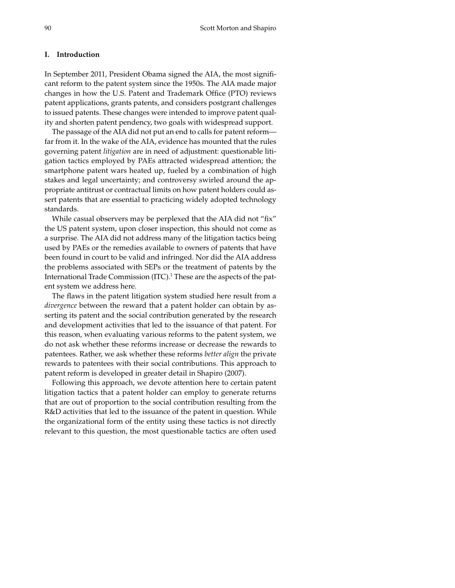# **I. Introduction**

In September 2011, President Obama signed the AIA, the most significant reform to the patent system since the 1950s. The AIA made major changes in how the U.S. Patent and Trademark Office (PTO) reviews patent applications, grants patents, and considers postgrant challenges to issued patents. These changes were intended to improve patent quality and shorten patent pendency, two goals with widespread support.

The passage of the AIA did not put an end to calls for patent reform far from it. In the wake of the AIA, evidence has mounted that the rules governing patent *litigation* are in need of adjustment: questionable litigation tactics employed by PAEs attracted widespread attention; the smartphone patent wars heated up, fueled by a combination of high stakes and legal uncertainty; and controversy swirled around the appropriate antitrust or contractual limits on how patent holders could assert patents that are essential to practicing widely adopted technology standards.

While casual observers may be perplexed that the AIA did not "fix" the US patent system, upon closer inspection, this should not come as a surprise. The AIA did not address many of the litigation tactics being used by PAEs or the remedies available to owners of patents that have been found in court to be valid and infringed. Nor did the AIA address the problems associated with SEPs or the treatment of patents by the International Trade Commission (ITC).<sup>1</sup> These are the aspects of the patent system we address here.

The flaws in the patent litigation system studied here result from a *divergence* between the reward that a patent holder can obtain by asserting its patent and the social contribution generated by the research and development activities that led to the issuance of that patent. For this reason, when evaluating various reforms to the patent system, we do not ask whether these reforms increase or decrease the rewards to patentees. Rather, we ask whether these reforms *better align* the private rewards to patentees with their social contributions. This approach to patent reform is developed in greater detail in Shapiro (2007).

Following this approach, we devote attention here to certain patent litigation tactics that a patent holder can employ to generate returns that are out of proportion to the social contribution resulting from the R&D activities that led to the issuance of the patent in question. While the organizational form of the entity using these tactics is not directly relevant to this question, the most questionable tactics are often used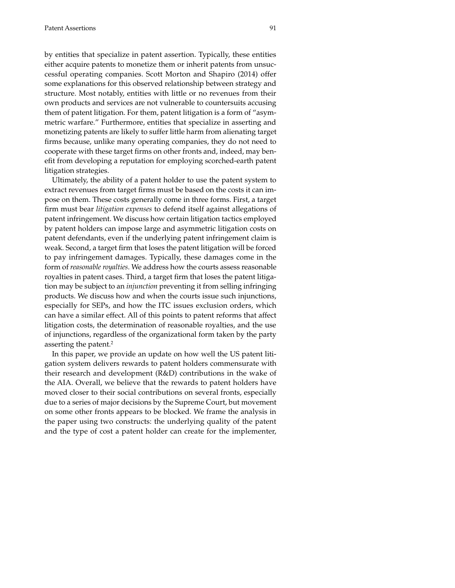by entities that specialize in patent assertion. Typically, these entities either acquire patents to monetize them or inherit patents from unsuccessful operating companies. Scott Morton and Shapiro (2014) offer some explanations for this observed relationship between strategy and structure. Most notably, entities with little or no revenues from their own products and services are not vulnerable to countersuits accusing them of patent litigation. For them, patent litigation is a form of "asymmetric warfare." Furthermore, entities that specialize in asserting and monetizing patents are likely to suffer little harm from alienating target firms because, unlike many operating companies, they do not need to cooperate with these target firms on other fronts and, indeed, may benefit from developing a reputation for employing scorched-earth patent litigation strategies.

Ultimately, the ability of a patent holder to use the patent system to extract revenues from target firms must be based on the costs it can impose on them. These costs generally come in three forms. First, a target firm must bear *litigation expenses* to defend itself against allegations of patent infringement. We discuss how certain litigation tactics employed by patent holders can impose large and asymmetric litigation costs on patent defendants, even if the underlying patent infringement claim is weak. Second, a target firm that loses the patent litigation will be forced to pay infringement damages. Typically, these damages come in the form of *reasonable royalties*. We address how the courts assess reasonable royalties in patent cases. Third, a target firm that loses the patent litigation may be subject to an *injunction* preventing it from selling infringing products. We discuss how and when the courts issue such injunctions, especially for SEPs, and how the ITC issues exclusion orders, which can have a similar effect. All of this points to patent reforms that affect litigation costs, the determination of reasonable royalties, and the use of injunctions, regardless of the organizational form taken by the party asserting the patent.<sup>2</sup>

In this paper, we provide an update on how well the US patent litigation system delivers rewards to patent holders commensurate with their research and development (R&D) contributions in the wake of the AIA. Overall, we believe that the rewards to patent holders have moved closer to their social contributions on several fronts, especially due to a series of major decisions by the Supreme Court, but movement on some other fronts appears to be blocked. We frame the analysis in the paper using two constructs: the underlying quality of the patent and the type of cost a patent holder can create for the implementer,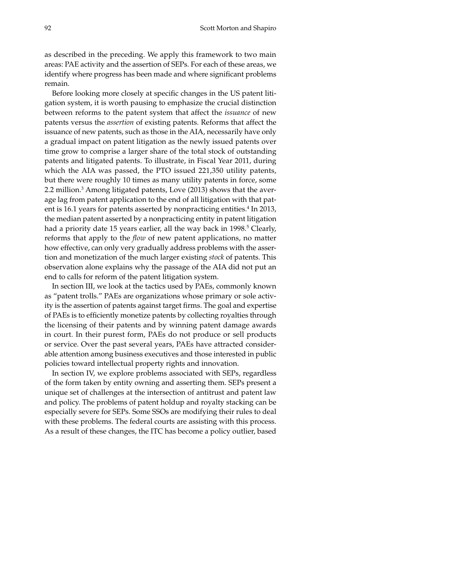as described in the preceding. We apply this framework to two main areas: PAE activity and the assertion of SEPs. For each of these areas, we identify where progress has been made and where significant problems remain.

Before looking more closely at specific changes in the US patent litigation system, it is worth pausing to emphasize the crucial distinction between reforms to the patent system that affect the *issuance* of new patents versus the *assertion* of existing patents. Reforms that affect the issuance of new patents, such as those in the AIA, necessarily have only a gradual impact on patent litigation as the newly issued patents over time grow to comprise a larger share of the total stock of outstanding patents and litigated patents. To illustrate, in Fiscal Year 2011, during which the AIA was passed, the PTO issued 221,350 utility patents, but there were roughly 10 times as many utility patents in force, some 2.2 million.<sup>3</sup> Among litigated patents, Love (2013) shows that the average lag from patent application to the end of all litigation with that patent is 16.1 years for patents asserted by nonpracticing entities.<sup>4</sup> In 2013, the median patent asserted by a nonpracticing entity in patent litigation had a priority date 15 years earlier, all the way back in 1998.<sup>5</sup> Clearly, reforms that apply to the *flow* of new patent applications, no matter how effective, can only very gradually address problems with the assertion and monetization of the much larger existing *stock* of patents. This observation alone explains why the passage of the AIA did not put an end to calls for reform of the patent litigation system.

In section III, we look at the tactics used by PAEs, commonly known as "patent trolls." PAEs are organizations whose primary or sole activity is the assertion of patents against target firms. The goal and expertise of PAEs is to efficiently monetize patents by collecting royalties through the licensing of their patents and by winning patent damage awards in court. In their purest form, PAEs do not produce or sell products or service. Over the past several years, PAEs have attracted considerable attention among business executives and those interested in public policies toward intellectual property rights and innovation.

In section IV, we explore problems associated with SEPs, regardless of the form taken by entity owning and asserting them. SEPs present a unique set of challenges at the intersection of antitrust and patent law and policy. The problems of patent holdup and royalty stacking can be especially severe for SEPs. Some SSOs are modifying their rules to deal with these problems. The federal courts are assisting with this process. As a result of these changes, the ITC has become a policy outlier, based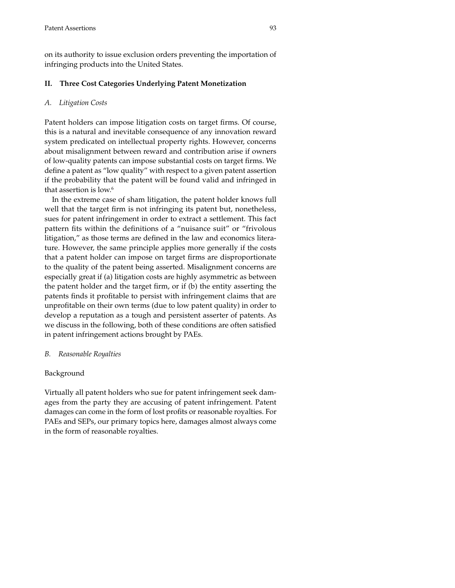on its authority to issue exclusion orders preventing the importation of infringing products into the United States.

# **II. Three Cost Categories Underlying Patent Monetization**

# *A. Litigation Costs*

Patent holders can impose litigation costs on target firms. Of course, this is a natural and inevitable consequence of any innovation reward system predicated on intellectual property rights. However, concerns about misalignment between reward and contribution arise if owners of low- quality patents can impose substantial costs on target firms. We define a patent as "low quality" with respect to a given patent assertion if the probability that the patent will be found valid and infringed in that assertion is low.6

In the extreme case of sham litigation, the patent holder knows full well that the target firm is not infringing its patent but, nonetheless, sues for patent infringement in order to extract a settlement. This fact pattern fits within the definitions of a "nuisance suit" or "frivolous litigation," as those terms are defined in the law and economics literature. However, the same principle applies more generally if the costs that a patent holder can impose on target firms are disproportionate to the quality of the patent being asserted. Misalignment concerns are especially great if (a) litigation costs are highly asymmetric as between the patent holder and the target firm, or if (b) the entity asserting the patents finds it profitable to persist with infringement claims that are unprofitable on their own terms (due to low patent quality) in order to develop a reputation as a tough and persistent asserter of patents. As we discuss in the following, both of these conditions are often satisfied in patent infringement actions brought by PAEs.

# *B. Reasonable Royalties*

# Background

Virtually all patent holders who sue for patent infringement seek damages from the party they are accusing of patent infringement. Patent damages can come in the form of lost profits or reasonable royalties. For PAEs and SEPs, our primary topics here, damages almost always come in the form of reasonable royalties.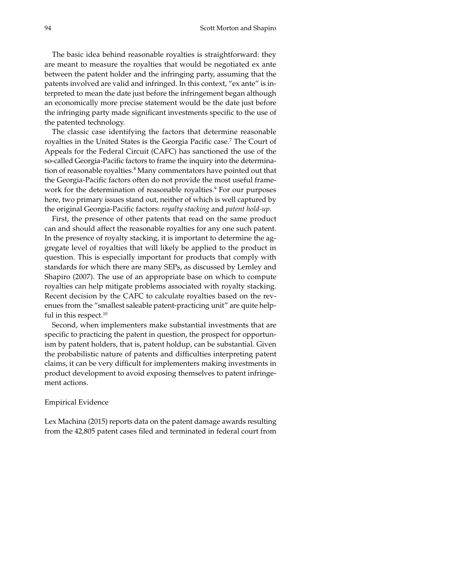The basic idea behind reasonable royalties is straightforward: they are meant to measure the royalties that would be negotiated ex ante between the patent holder and the infringing party, assuming that the patents involved are valid and infringed. In this context, "ex ante" is interpreted to mean the date just before the infringement began although an economically more precise statement would be the date just before the infringing party made significant investments specific to the use of the patented technology.

The classic case identifying the factors that determine reasonable royalties in the United States is the Georgia Pacific case.<sup>7</sup> The Court of Appeals for the Federal Circuit (CAFC) has sanctioned the use of the so-called Georgia-Pacific factors to frame the inquiry into the determination of reasonable royalties.<sup>8</sup> Many commentators have pointed out that the Georgia- Pacific factors often do not provide the most useful framework for the determination of reasonable royalties.<sup>9</sup> For our purposes here, two primary issues stand out, neither of which is well captured by the original Georgia- Pacific factors: *royalty stacking* and *patent hold-up*.

First, the presence of other patents that read on the same product can and should affect the reasonable royalties for any one such patent. In the presence of royalty stacking, it is important to determine the aggregate level of royalties that will likely be applied to the product in question. This is especially important for products that comply with standards for which there are many SEPs, as discussed by Lemley and Shapiro (2007). The use of an appropriate base on which to compute royalties can help mitigate problems associated with royalty stacking. Recent decision by the CAFC to calculate royalties based on the revenues from the "smallest saleable patent-practicing unit" are quite helpful in this respect. $10$ 

Second, when implementers make substantial investments that are specific to practicing the patent in question, the prospect for opportunism by patent holders, that is, patent holdup, can be substantial. Given the probabilistic nature of patents and difficulties interpreting patent claims, it can be very difficult for implementers making investments in product development to avoid exposing themselves to patent infringement actions.

#### Empirical Evidence

Lex Machina (2015) reports data on the patent damage awards resulting from the 42,805 patent cases filed and terminated in federal court from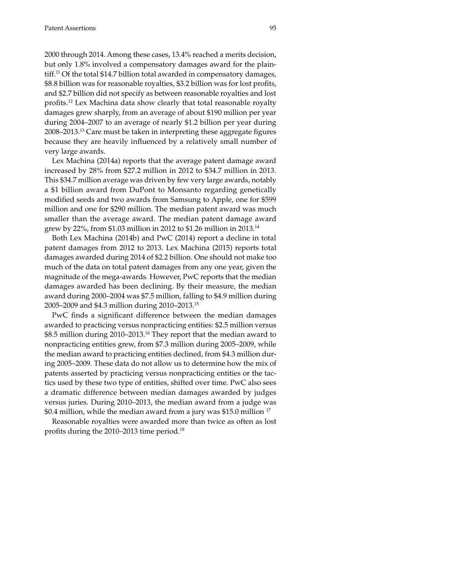2000 through 2014. Among these cases, 13.4% reached a merits decision, but only 1.8% involved a compensatory damages award for the plaintiff.11 Of the total \$14.7 billion total awarded in compensatory damages, \$8.8 billion was for reasonable royalties, \$3.2 billion was for lost profits, and \$2.7 billion did not specify as between reasonable royalties and lost profits.12 Lex Machina data show clearly that total reasonable royalty damages grew sharply, from an average of about \$190 million per year during 2004– 2007 to an average of nearly \$1.2 billion per year during  $2008 - 2013$ .<sup>13</sup> Care must be taken in interpreting these aggregate figures because they are heavily influenced by a relatively small number of very large awards.

Lex Machina (2014a) reports that the average patent damage award increased by 28% from \$27.2 million in 2012 to \$34.7 million in 2013. This \$34.7 million average was driven by few very large awards, notably a \$1 billion award from DuPont to Monsanto regarding genetically modified seeds and two awards from Samsung to Apple, one for \$599 million and one for \$290 million. The median patent award was much smaller than the average award. The median patent damage award grew by 22%, from \$1.03 million in 2012 to \$1.26 million in 2013.14

Both Lex Machina (2014b) and PwC (2014) report a decline in total patent damages from 2012 to 2013. Lex Machina (2015) reports total damages awarded during 2014 of \$2.2 billion. One should not make too much of the data on total patent damages from any one year, given the magnitude of the mega-awards. However, PwC reports that the median damages awarded has been declining. By their measure, the median award during 2000–2004 was \$7.5 million, falling to \$4.9 million during 2005–2009 and \$4.3 million during 2010–2013.<sup>15</sup>

PwC finds a significant difference between the median damages awarded to practicing versus nonpracticing entities: \$2.5 million versus \$8.5 million during 2010–2013.<sup>16</sup> They report that the median award to nonpracticing entities grew, from \$7.3 million during 2005–2009, while the median award to practicing entities declined, from \$4.3 million during 2005– 2009. These data do not allow us to determine how the mix of patents asserted by practicing versus nonpracticing entities or the tactics used by these two type of entities, shifted over time. PwC also sees a dramatic difference between median damages awarded by judges versus juries. During 2010–2013, the median award from a judge was \$0.4 million, while the median award from a jury was \$15.0 million 17

Reasonable royalties were awarded more than twice as often as lost profits during the 2010–2013 time period.<sup>18</sup>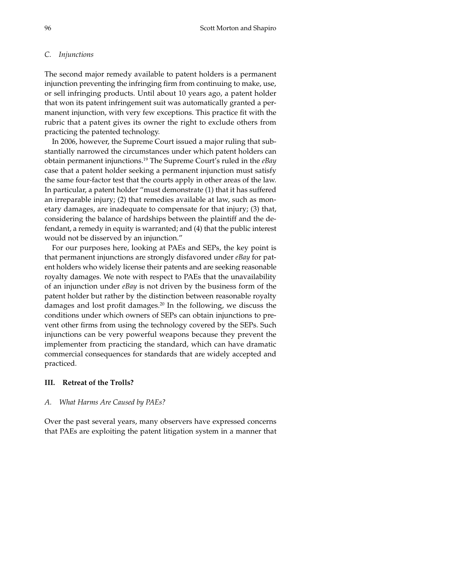# *C. Injunctions*

The second major remedy available to patent holders is a permanent injunction preventing the infringing firm from continuing to make, use, or sell infringing products. Until about 10 years ago, a patent holder that won its patent infringement suit was automatically granted a permanent injunction, with very few exceptions. This practice fit with the rubric that a patent gives its owner the right to exclude others from practicing the patented technology.

In 2006, however, the Supreme Court issued a major ruling that substantially narrowed the circumstances under which patent holders can obtain permanent injunctions.19 The Supreme Court's ruled in the *eBay* case that a patent holder seeking a permanent injunction must satisfy the same four-factor test that the courts apply in other areas of the law. In particular, a patent holder "must demonstrate (1) that it has suffered an irreparable injury; (2) that remedies available at law, such as monetary damages, are inadequate to compensate for that injury; (3) that, considering the balance of hardships between the plaintiff and the defendant, a remedy in equity is warranted; and (4) that the public interest would not be disserved by an injunction."

For our purposes here, looking at PAEs and SEPs, the key point is that permanent injunctions are strongly disfavored under *eBay* for patent holders who widely license their patents and are seeking reasonable royalty damages. We note with respect to PAEs that the unavailability of an injunction under *eBay* is not driven by the business form of the patent holder but rather by the distinction between reasonable royalty damages and lost profit damages.20 In the following, we discuss the conditions under which owners of SEPs can obtain injunctions to prevent other firms from using the technology covered by the SEPs. Such injunctions can be very powerful weapons because they prevent the implementer from practicing the standard, which can have dramatic commercial consequences for standards that are widely accepted and practiced.

# **III. Retreat of the Trolls?**

# *A. What Harms Are Caused by PAEs?*

Over the past several years, many observers have expressed concerns that PAEs are exploiting the patent litigation system in a manner that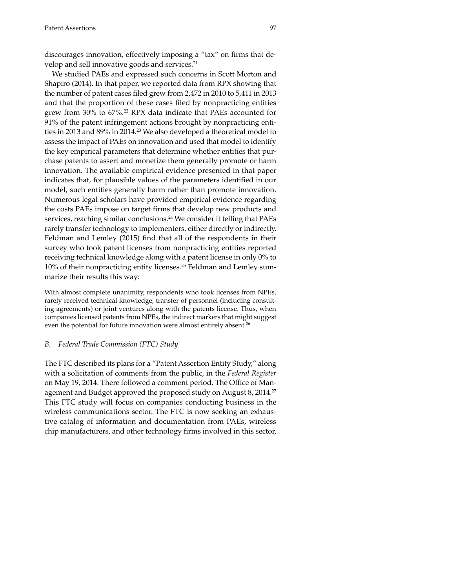discourages innovation, effectively imposing a "tax" on firms that develop and sell innovative goods and services.<sup>21</sup>

We studied PAEs and expressed such concerns in Scott Morton and Shapiro (2014). In that paper, we reported data from RPX showing that the number of patent cases filed grew from 2,472 in 2010 to 5,411 in 2013 and that the proportion of these cases filed by nonpracticing entities grew from 30% to 67%.22 RPX data indicate that PAEs accounted for 91% of the patent infringement actions brought by nonpracticing entities in 2013 and 89% in 2014.23 We also developed a theoretical model to assess the impact of PAEs on innovation and used that model to identify the key empirical parameters that determine whether entities that purchase patents to assert and monetize them generally promote or harm innovation. The available empirical evidence presented in that paper indicates that, for plausible values of the parameters identified in our model, such entities generally harm rather than promote innovation. Numerous legal scholars have provided empirical evidence regarding the costs PAEs impose on target firms that develop new products and services, reaching similar conclusions.<sup>24</sup> We consider it telling that PAEs rarely transfer technology to implementers, either directly or indirectly. Feldman and Lemley (2015) find that all of the respondents in their survey who took patent licenses from nonpracticing entities reported receiving technical knowledge along with a patent license in only 0% to 10% of their nonpracticing entity licenses.25 Feldman and Lemley summarize their results this way:

With almost complete unanimity, respondents who took licenses from NPEs, rarely received technical knowledge, transfer of personnel (including consulting agreements) or joint ventures along with the patents license. Thus, when companies licensed patents from NPEs, the indirect markers that might suggest even the potential for future innovation were almost entirely absent.<sup>26</sup>

#### *B. Federal Trade Commission (FTC) Study*

The FTC described its plans for a "Patent Assertion Entity Study," along with a solicitation of comments from the public, in the *Federal Register* on May 19, 2014. There followed a comment period. The Office of Management and Budget approved the proposed study on August 8, 2014.<sup>27</sup> This FTC study will focus on companies conducting business in the wireless communications sector. The FTC is now seeking an exhaustive catalog of information and documentation from PAEs, wireless chip manufacturers, and other technology firms involved in this sector,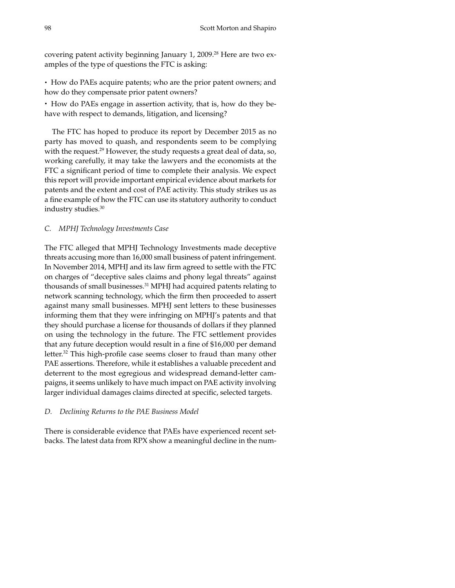covering patent activity beginning January 1, 2009.<sup>28</sup> Here are two examples of the type of questions the FTC is asking:

• How do PAEs acquire patents; who are the prior patent owners; and how do they compensate prior patent owners?

• How do PAEs engage in assertion activity, that is, how do they behave with respect to demands, litigation, and licensing?

The FTC has hoped to produce its report by December 2015 as no party has moved to quash, and respondents seem to be complying with the request.<sup>29</sup> However, the study requests a great deal of data, so, working carefully, it may take the lawyers and the economists at the FTC a significant period of time to complete their analysis. We expect this report will provide important empirical evidence about markets for patents and the extent and cost of PAE activity. This study strikes us as a fine example of how the FTC can use its statutory authority to conduct industry studies.<sup>30</sup>

# *C. MPHJ Technology Investments Case*

The FTC alleged that MPHJ Technology Investments made deceptive threats accusing more than 16,000 small business of patent infringement. In November 2014, MPHJ and its law firm agreed to settle with the FTC on charges of "deceptive sales claims and phony legal threats" against thousands of small businesses.31 MPHJ had acquired patents relating to network scanning technology, which the firm then proceeded to assert against many small businesses. MPHJ sent letters to these businesses informing them that they were infringing on MPHJ's patents and that they should purchase a license for thousands of dollars if they planned on using the technology in the future. The FTC settlement provides that any future deception would result in a fine of \$16,000 per demand letter.<sup>32</sup> This high-profile case seems closer to fraud than many other PAE assertions. Therefore, while it establishes a valuable precedent and deterrent to the most egregious and widespread demand-letter campaigns, it seems unlikely to have much impact on PAE activity involving larger individual damages claims directed at specific, selected targets.

# *D. Declining Returns to the PAE Business Model*

There is considerable evidence that PAEs have experienced recent setbacks. The latest data from RPX show a meaningful decline in the num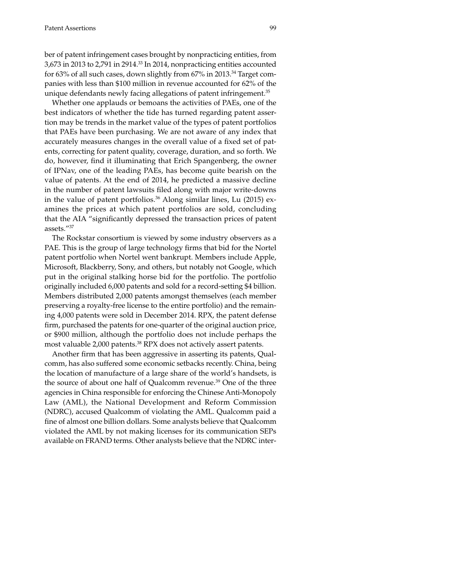ber of patent infringement cases brought by nonpracticing entities, from 3,673 in 2013 to 2,791 in 2914.33 In 2014, nonpracticing entities accounted for 63% of all such cases, down slightly from 67% in 2013.34 Target companies with less than \$100 million in revenue accounted for 62% of the unique defendants newly facing allegations of patent infringement.<sup>35</sup>

Whether one applauds or bemoans the activities of PAEs, one of the best indicators of whether the tide has turned regarding patent assertion may be trends in the market value of the types of patent portfolios that PAEs have been purchasing. We are not aware of any index that accurately measures changes in the overall value of a fixed set of patents, correcting for patent quality, coverage, duration, and so forth. We do, however, find it illuminating that Erich Spangenberg, the owner of IPNav, one of the leading PAEs, has become quite bearish on the value of patents. At the end of 2014, he predicted a massive decline in the number of patent lawsuits filed along with major write- downs in the value of patent portfolios.<sup>36</sup> Along similar lines, Lu (2015) examines the prices at which patent portfolios are sold, concluding that the AIA "significantly depressed the transaction prices of patent assets."<sup>37</sup>

The Rockstar consortium is viewed by some industry observers as a PAE. This is the group of large technology firms that bid for the Nortel patent portfolio when Nortel went bankrupt. Members include Apple, Microsoft, Blackberry, Sony, and others, but notably not Google, which put in the original stalking horse bid for the portfolio. The portfolio originally included 6,000 patents and sold for a record- setting \$4 billion. Members distributed 2,000 patents amongst themselves (each member preserving a royalty-free license to the entire portfolio) and the remaining 4,000 patents were sold in December 2014. RPX, the patent defense firm, purchased the patents for one- quarter of the original auction price, or \$900 million, although the portfolio does not include perhaps the most valuable 2,000 patents.<sup>38</sup> RPX does not actively assert patents.

Another firm that has been aggressive in asserting its patents, Qualcomm, has also suffered some economic setbacks recently. China, being the location of manufacture of a large share of the world's handsets, is the source of about one half of Qualcomm revenue.39 One of the three agencies in China responsible for enforcing the Chinese Anti- Monopoly Law (AML), the National Development and Reform Commission (NDRC), accused Qualcomm of violating the AML. Qualcomm paid a fine of almost one billion dollars. Some analysts believe that Qualcomm violated the AML by not making licenses for its communication SEPs available on FRAND terms. Other analysts believe that the NDRC inter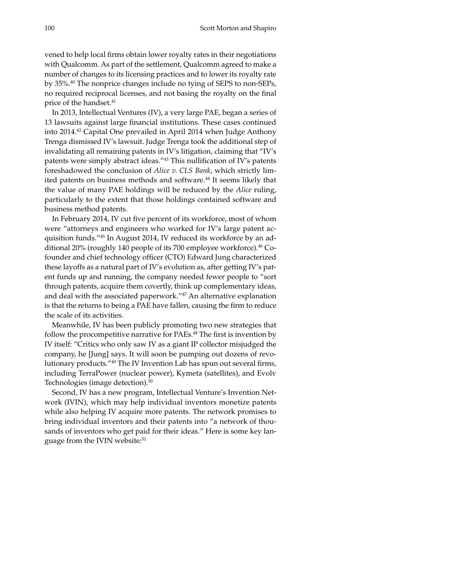vened to help local firms obtain lower royalty rates in their negotiations with Qualcomm. As part of the settlement, Qualcomm agreed to make a number of changes to its licensing practices and to lower its royalty rate by 35%.<sup>40</sup> The nonprice changes include no tying of SEPS to non-SEPs, no required reciprocal licenses, and not basing the royalty on the final price of the handset.<sup>41</sup>

In 2013, Intellectual Ventures (IV), a very large PAE, began a series of 13 lawsuits against large financial institutions. These cases continued into 2014.42 Capital One prevailed in April 2014 when Judge Anthony Trenga dismissed IV's lawsuit. Judge Trenga took the additional step of invalidating all remaining patents in IV's litigation, claiming that "IV's patents were simply abstract ideas."43 This nullification of IV's patents foreshadowed the conclusion of *Alice v. CLS Bank*, which strictly limited patents on business methods and software.<sup>44</sup> It seems likely that the value of many PAE holdings will be reduced by the *Alice* ruling, particularly to the extent that those holdings contained software and business method patents.

In February 2014, IV cut five percent of its workforce, most of whom were "attorneys and engineers who worked for IV's large patent acquisition funds."45 In August 2014, IV reduced its workforce by an additional 20% (roughly 140 people of its 700 employee workforce).<sup>46</sup> Cofounder and chief technology officer (CTO) Edward Jung characterized these layoffs as a natural part of IV's evolution as, after getting IV's patent funds up and running, the company needed fewer people to "sort through patents, acquire them covertly, think up complementary ideas, and deal with the associated paperwork."<sup>47</sup> An alternative explanation is that the returns to being a PAE have fallen, causing the firm to reduce the scale of its activities.

Meanwhile, IV has been publicly promoting two new strategies that follow the procompetitive narrative for PAEs.<sup>48</sup> The first is invention by IV itself: "Critics who only saw IV as a giant IP collector misjudged the company, he [Jung] says. It will soon be pumping out dozens of revolutionary products."49 The IV Invention Lab has spun out several firms, including TerraPower (nuclear power), Kymeta (satellites), and Evolv Technologies (image detection).<sup>50</sup>

Second, IV has a new program, Intellectual Venture's Invention Network (IVIN), which may help individual inventors monetize patents while also helping IV acquire more patents. The network promises to bring individual inventors and their patents into "a network of thousands of inventors who get paid for their ideas." Here is some key language from the IVIN website:<sup>51</sup>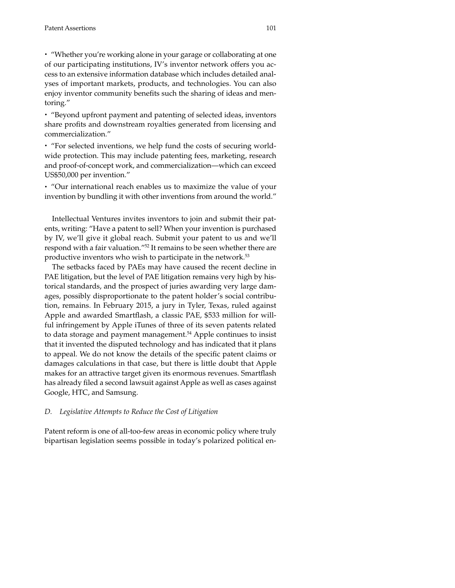• "Whether you're working alone in your garage or collaborating at one of our participating institutions, IV's inventor network offers you access to an extensive information database which includes detailed analyses of important markets, products, and technologies. You can also enjoy inventor community benefits such the sharing of ideas and mentoring."

• "Beyond upfront payment and patenting of selected ideas, inventors share profits and downstream royalties generated from licensing and commercialization."

• "For selected inventions, we help fund the costs of securing worldwide protection. This may include patenting fees, marketing, research and proof-of-concept work, and commercialization—which can exceed US\$50,000 per invention."

• "Our international reach enables us to maximize the value of your invention by bundling it with other inventions from around the world."

Intellectual Ventures invites inventors to join and submit their patents, writing: "Have a patent to sell? When your invention is purchased by IV, we'll give it global reach. Submit your patent to us and we'll respond with a fair valuation."52 It remains to be seen whether there are productive inventors who wish to participate in the network.<sup>53</sup>

The setbacks faced by PAEs may have caused the recent decline in PAE litigation, but the level of PAE litigation remains very high by historical standards, and the prospect of juries awarding very large damages, possibly disproportionate to the patent holder's social contribution, remains. In February 2015, a jury in Tyler, Texas, ruled against Apple and awarded Smartflash, a classic PAE, \$533 million for willful infringement by Apple iTunes of three of its seven patents related to data storage and payment management.<sup>54</sup> Apple continues to insist that it invented the disputed technology and has indicated that it plans to appeal. We do not know the details of the specific patent claims or damages calculations in that case, but there is little doubt that Apple makes for an attractive target given its enormous revenues. Smartflash has already filed a second lawsuit against Apple as well as cases against Google, HTC, and Samsung.

# *D. Legislative Attempts to Reduce the Cost of Litigation*

Patent reform is one of all-too-few areas in economic policy where truly bipartisan legislation seems possible in today's polarized political en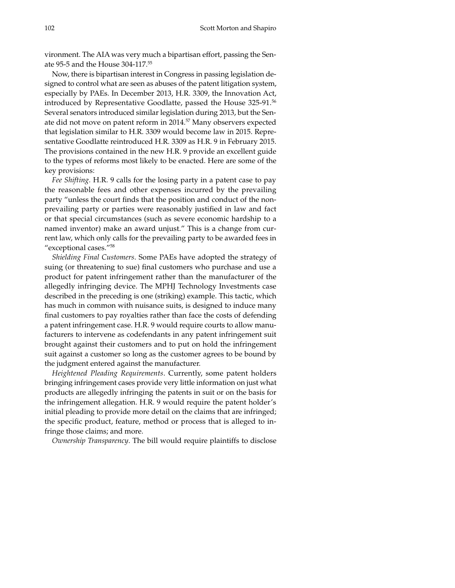vironment. The AIA was very much a bipartisan effort, passing the Senate 95-5 and the House 304-117.<sup>55</sup>

Now, there is bipartisan interest in Congress in passing legislation designed to control what are seen as abuses of the patent litigation system, especially by PAEs. In December 2013, H.R. 3309, the Innovation Act, introduced by Representative Goodlatte, passed the House 325-91.<sup>56</sup> Several senators introduced similar legislation during 2013, but the Senate did not move on patent reform in 2014.57 Many observers expected that legislation similar to H.R. 3309 would become law in 2015. Representative Goodlatte reintroduced H.R. 3309 as H.R. 9 in February 2015. The provisions contained in the new H.R. 9 provide an excellent guide to the types of reforms most likely to be enacted. Here are some of the key provisions:

*Fee Shifting.* H.R. 9 calls for the losing party in a patent case to pay the reasonable fees and other expenses incurred by the prevailing party "unless the court finds that the position and conduct of the nonprevailing party or parties were reasonably justified in law and fact or that special circumstances (such as severe economic hardship to a named inventor) make an award unjust." This is a change from current law, which only calls for the prevailing party to be awarded fees in "exceptional cases."58

*Shielding Final Customers*. Some PAEs have adopted the strategy of suing (or threatening to sue) final customers who purchase and use a product for patent infringement rather than the manufacturer of the allegedly infringing device. The MPHJ Technology Investments case described in the preceding is one (striking) example. This tactic, which has much in common with nuisance suits, is designed to induce many final customers to pay royalties rather than face the costs of defending a patent infringement case. H.R. 9 would require courts to allow manufacturers to intervene as codefendants in any patent infringement suit brought against their customers and to put on hold the infringement suit against a customer so long as the customer agrees to be bound by the judgment entered against the manufacturer.

*Heightened Pleading Requirements*. Currently, some patent holders bringing infringement cases provide very little information on just what products are allegedly infringing the patents in suit or on the basis for the infringement allegation. H.R. 9 would require the patent holder's initial pleading to provide more detail on the claims that are infringed; the specific product, feature, method or process that is alleged to infringe those claims; and more.

*Ownership Transparency*. The bill would require plaintiffs to disclose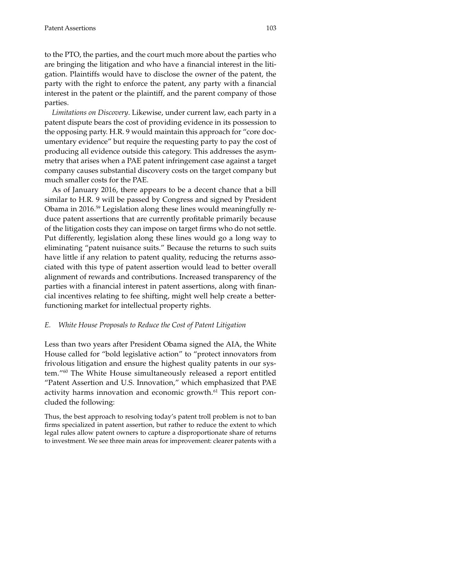to the PTO, the parties, and the court much more about the parties who are bringing the litigation and who have a financial interest in the litigation. Plaintiffs would have to disclose the owner of the patent, the party with the right to enforce the patent, any party with a financial interest in the patent or the plaintiff, and the parent company of those parties.

*Limitations on Discovery*. Likewise, under current law, each party in a patent dispute bears the cost of providing evidence in its possession to the opposing party. H.R. 9 would maintain this approach for "core documentary evidence" but require the requesting party to pay the cost of producing all evidence outside this category. This addresses the asymmetry that arises when a PAE patent infringement case against a target company causes substantial discovery costs on the target company but much smaller costs for the PAE.

As of January 2016, there appears to be a decent chance that a bill similar to H.R. 9 will be passed by Congress and signed by President Obama in 2016.59 Legislation along these lines would meaningfully reduce patent assertions that are currently profitable primarily because of the litigation costs they can impose on target firms who do not settle. Put differently, legislation along these lines would go a long way to eliminating "patent nuisance suits." Because the returns to such suits have little if any relation to patent quality, reducing the returns associated with this type of patent assertion would lead to better overall alignment of rewards and contributions. Increased transparency of the parties with a financial interest in patent assertions, along with financial incentives relating to fee shifting, might well help create a betterfunctioning market for intellectual property rights.

#### *E. White House Proposals to Reduce the Cost of Patent Litigation*

Less than two years after President Obama signed the AIA, the White House called for "bold legislative action" to "protect innovators from frivolous litigation and ensure the highest quality patents in our system."60 The White House simultaneously released a report entitled "Patent Assertion and U.S. Innovation," which emphasized that PAE activity harms innovation and economic growth.<sup>61</sup> This report concluded the following:

Thus, the best approach to resolving today's patent troll problem is not to ban firms specialized in patent assertion, but rather to reduce the extent to which legal rules allow patent owners to capture a disproportionate share of returns to investment. We see three main areas for improvement: clearer patents with a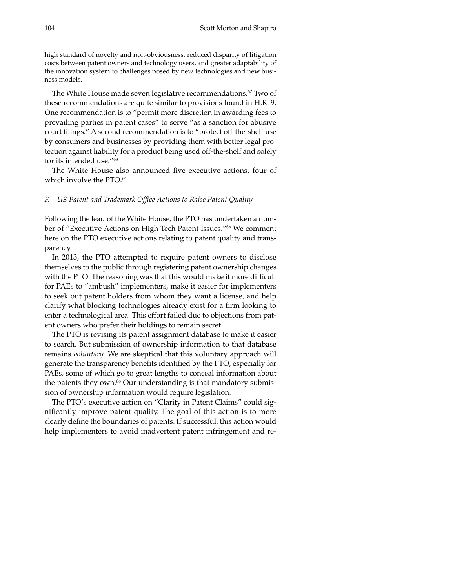high standard of novelty and non-obviousness, reduced disparity of litigation costs between patent owners and technology users, and greater adaptability of the innovation system to challenges posed by new technologies and new business models.

The White House made seven legislative recommendations.<sup>62</sup> Two of these recommendations are quite similar to provisions found in H.R. 9. One recommendation is to "permit more discretion in awarding fees to prevailing parties in patent cases" to serve "as a sanction for abusive court filings." A second recommendation is to "protect off- the- shelf use by consumers and businesses by providing them with better legal protection against liability for a product being used off-the-shelf and solely for its intended use."63

The White House also announced five executive actions, four of which involve the PTO.<sup>64</sup>

## *F. US Patent and Trademark Office Actions to Raise Patent Quality*

Following the lead of the White House, the PTO has undertaken a number of "Executive Actions on High Tech Patent Issues."65 We comment here on the PTO executive actions relating to patent quality and transparency.

In 2013, the PTO attempted to require patent owners to disclose themselves to the public through registering patent ownership changes with the PTO. The reasoning was that this would make it more difficult for PAEs to "ambush" implementers, make it easier for implementers to seek out patent holders from whom they want a license, and help clarify what blocking technologies already exist for a firm looking to enter a technological area. This effort failed due to objections from patent owners who prefer their holdings to remain secret.

The PTO is revising its patent assignment database to make it easier to search. But submission of ownership information to that database remains *voluntary*. We are skeptical that this voluntary approach will generate the transparency benefits identified by the PTO, especially for PAEs, some of which go to great lengths to conceal information about the patents they own.<sup>66</sup> Our understanding is that mandatory submission of ownership information would require legislation.

The PTO's executive action on "Clarity in Patent Claims" could significantly improve patent quality. The goal of this action is to more clearly define the boundaries of patents. If successful, this action would help implementers to avoid inadvertent patent infringement and re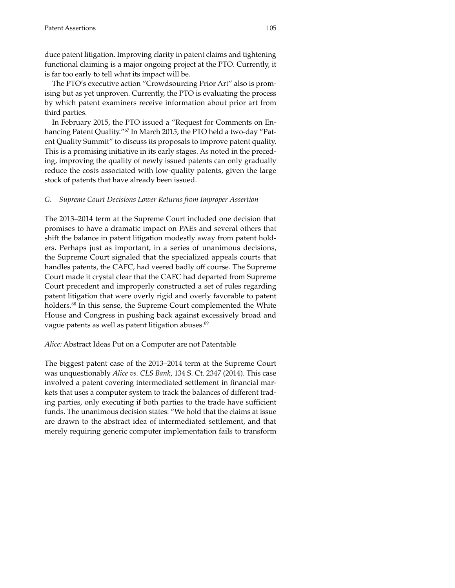duce patent litigation. Improving clarity in patent claims and tightening functional claiming is a major ongoing project at the PTO. Currently, it is far too early to tell what its impact will be.

The PTO's executive action "Crowdsourcing Prior Art" also is promising but as yet unproven. Currently, the PTO is evaluating the process by which patent examiners receive information about prior art from third parties.

In February 2015, the PTO issued a "Request for Comments on Enhancing Patent Quality."<sup>67</sup> In March 2015, the PTO held a two-day "Patent Quality Summit" to discuss its proposals to improve patent quality. This is a promising initiative in its early stages. As noted in the preceding, improving the quality of newly issued patents can only gradually reduce the costs associated with low-quality patents, given the large stock of patents that have already been issued.

# *G. Supreme Court Decisions Lower Returns from Improper Assertion*

The 2013–2014 term at the Supreme Court included one decision that promises to have a dramatic impact on PAEs and several others that shift the balance in patent litigation modestly away from patent holders. Perhaps just as important, in a series of unanimous decisions, the Supreme Court signaled that the specialized appeals courts that handles patents, the CAFC, had veered badly off course. The Supreme Court made it crystal clear that the CAFC had departed from Supreme Court precedent and improperly constructed a set of rules regarding patent litigation that were overly rigid and overly favorable to patent holders.<sup>68</sup> In this sense, the Supreme Court complemented the White House and Congress in pushing back against excessively broad and vague patents as well as patent litigation abuses.<sup>69</sup>

# *Alice:* Abstract Ideas Put on a Computer are not Patentable

The biggest patent case of the 2013–2014 term at the Supreme Court was unquestionably *Alice vs. CLS Bank*, 134 S. Ct. 2347 (2014). This case involved a patent covering intermediated settlement in financial markets that uses a computer system to track the balances of different trading parties, only executing if both parties to the trade have sufficient funds. The unanimous decision states: "We hold that the claims at issue are drawn to the abstract idea of intermediated settlement, and that merely requiring generic computer implementation fails to transform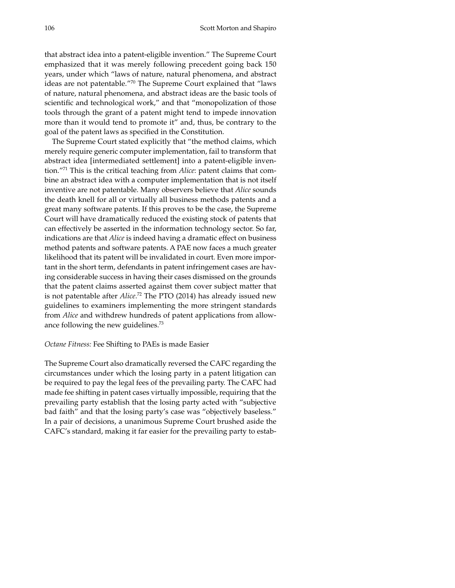that abstract idea into a patent-eligible invention." The Supreme Court emphasized that it was merely following precedent going back 150 years, under which "laws of nature, natural phenomena, and abstract ideas are not patentable."70 The Supreme Court explained that "laws of nature, natural phenomena, and abstract ideas are the basic tools of scientific and technological work," and that "monopolization of those tools through the grant of a patent might tend to impede innovation more than it would tend to promote it" and, thus, be contrary to the goal of the patent laws as specified in the Constitution.

The Supreme Court stated explicitly that "the method claims, which merely require generic computer implementation, fail to transform that abstract idea [intermediated settlement] into a patent-eligible invention."71 This is the critical teaching from *Alice*: patent claims that combine an abstract idea with a computer implementation that is not itself inventive are not patentable. Many observers believe that *Alice* sounds the death knell for all or virtually all business methods patents and a great many software patents. If this proves to be the case, the Supreme Court will have dramatically reduced the existing stock of patents that can effectively be asserted in the information technology sector. So far, indications are that *Alice* is indeed having a dramatic effect on business method patents and software patents. A PAE now faces a much greater likelihood that its patent will be invalidated in court. Even more important in the short term, defendants in patent infringement cases are having considerable success in having their cases dismissed on the grounds that the patent claims asserted against them cover subject matter that is not patentable after *Alice*. 72 The PTO (2014) has already issued new guidelines to examiners implementing the more stringent standards from *Alice* and withdrew hundreds of patent applications from allowance following the new guidelines.<sup>73</sup>

#### *Octane Fitness:* Fee Shifting to PAEs is made Easier

The Supreme Court also dramatically reversed the CAFC regarding the circumstances under which the losing party in a patent litigation can be required to pay the legal fees of the prevailing party. The CAFC had made fee shifting in patent cases virtually impossible, requiring that the prevailing party establish that the losing party acted with "subjective bad faith" and that the losing party's case was "objectively baseless." In a pair of decisions, a unanimous Supreme Court brushed aside the CAFC's standard, making it far easier for the prevailing party to estab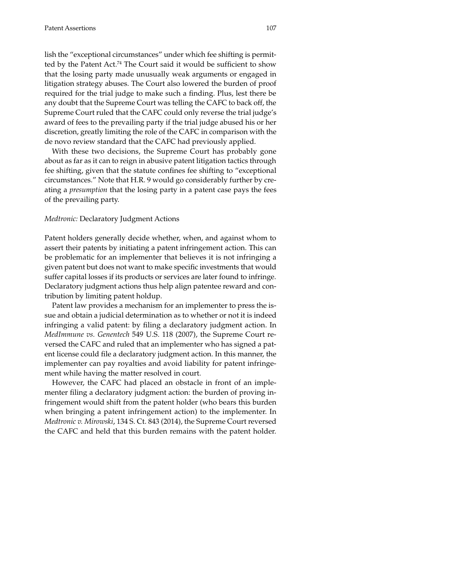lish the "exceptional circumstances" under which fee shifting is permitted by the Patent Act.<sup>74</sup> The Court said it would be sufficient to show that the losing party made unusually weak arguments or engaged in litigation strategy abuses. The Court also lowered the burden of proof required for the trial judge to make such a finding. Plus, lest there be any doubt that the Supreme Court was telling the CAFC to back off, the Supreme Court ruled that the CAFC could only reverse the trial judge's award of fees to the prevailing party if the trial judge abused his or her discretion, greatly limiting the role of the CAFC in comparison with the de novo review standard that the CAFC had previously applied.

With these two decisions, the Supreme Court has probably gone about as far as it can to reign in abusive patent litigation tactics through fee shifting, given that the statute confines fee shifting to "exceptional circumstances." Note that H.R. 9 would go considerably further by creating a *presumption* that the losing party in a patent case pays the fees of the prevailing party.

#### *Medtronic:* Declaratory Judgment Actions

Patent holders generally decide whether, when, and against whom to assert their patents by initiating a patent infringement action. This can be problematic for an implementer that believes it is not infringing a given patent but does not want to make specific investments that would suffer capital losses if its products or services are later found to infringe. Declaratory judgment actions thus help align patentee reward and contribution by limiting patent holdup.

Patent law provides a mechanism for an implementer to press the issue and obtain a judicial determination as to whether or not it is indeed infringing a valid patent: by filing a declaratory judgment action. In *MedImmune vs. Genentech* 549 U.S. 118 (2007), the Supreme Court reversed the CAFC and ruled that an implementer who has signed a patent license could file a declaratory judgment action. In this manner, the implementer can pay royalties and avoid liability for patent infringement while having the matter resolved in court.

However, the CAFC had placed an obstacle in front of an implementer filing a declaratory judgment action: the burden of proving infringement would shift from the patent holder (who bears this burden when bringing a patent infringement action) to the implementer. In *Medtronic v. Mirowski*, 134 S. Ct. 843 (2014), the Supreme Court reversed the CAFC and held that this burden remains with the patent holder.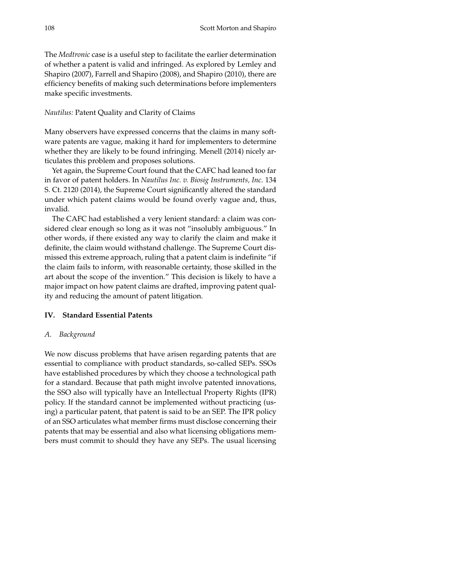The *Medtronic* case is a useful step to facilitate the earlier determination of whether a patent is valid and infringed. As explored by Lemley and Shapiro (2007), Farrell and Shapiro (2008), and Shapiro (2010), there are efficiency benefits of making such determinations before implementers make specific investments.

# *Nautilus:* Patent Quality and Clarity of Claims

Many observers have expressed concerns that the claims in many software patents are vague, making it hard for implementers to determine whether they are likely to be found infringing. Menell (2014) nicely articulates this problem and proposes solutions.

Yet again, the Supreme Court found that the CAFC had leaned too far in favor of patent holders. In *Nautilus Inc. v. Biosig Instruments, Inc.* 134 S. Ct. 2120 (2014), the Supreme Court significantly altered the standard under which patent claims would be found overly vague and, thus, invalid.

The CAFC had established a very lenient standard: a claim was considered clear enough so long as it was not "insolubly ambiguous." In other words, if there existed any way to clarify the claim and make it definite, the claim would withstand challenge. The Supreme Court dismissed this extreme approach, ruling that a patent claim is indefinite "if the claim fails to inform, with reasonable certainty, those skilled in the art about the scope of the invention." This decision is likely to have a major impact on how patent claims are drafted, improving patent quality and reducing the amount of patent litigation.

#### **IV. Standard Essential Patents**

#### *A. Background*

We now discuss problems that have arisen regarding patents that are essential to compliance with product standards, so-called SEPs. SSOs have established procedures by which they choose a technological path for a standard. Because that path might involve patented innovations, the SSO also will typically have an Intellectual Property Rights (IPR) policy. If the standard cannot be implemented without practicing (using) a particular patent, that patent is said to be an SEP. The IPR policy of an SSO articulates what member firms must disclose concerning their patents that may be essential and also what licensing obligations members must commit to should they have any SEPs. The usual licensing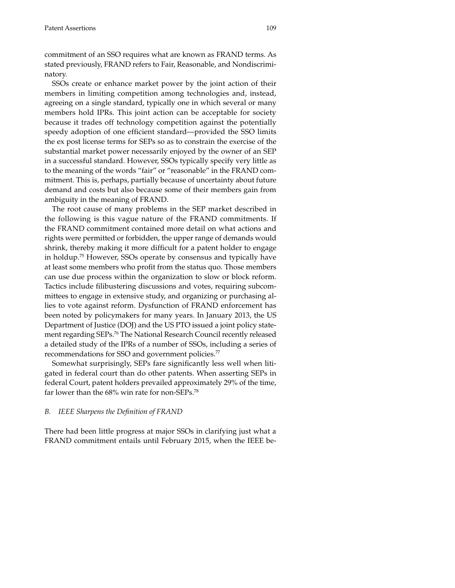commitment of an SSO requires what are known as FRAND terms. As stated previously, FRAND refers to Fair, Reasonable, and Nondiscriminatory.

SSOs create or enhance market power by the joint action of their members in limiting competition among technologies and, instead, agreeing on a single standard, typically one in which several or many members hold IPRs. This joint action can be acceptable for society because it trades off technology competition against the potentially speedy adoption of one efficient standard—provided the SSO limits the ex post license terms for SEPs so as to constrain the exercise of the substantial market power necessarily enjoyed by the owner of an SEP in a successful standard. However, SSOs typically specify very little as to the meaning of the words "fair" or "reasonable" in the FRAND commitment. This is, perhaps, partially because of uncertainty about future demand and costs but also because some of their members gain from ambiguity in the meaning of FRAND.

The root cause of many problems in the SEP market described in the following is this vague nature of the FRAND commitments. If the FRAND commitment contained more detail on what actions and rights were permitted or forbidden, the upper range of demands would shrink, thereby making it more difficult for a patent holder to engage in holdup.75 However, SSOs operate by consensus and typically have at least some members who profit from the status quo. Those members can use due process within the organization to slow or block reform. Tactics include filibustering discussions and votes, requiring subcommittees to engage in extensive study, and organizing or purchasing allies to vote against reform. Dysfunction of FRAND enforcement has been noted by policymakers for many years. In January 2013, the US Department of Justice (DOJ) and the US PTO issued a joint policy statement regarding SEPs.76 The National Research Council recently released a detailed study of the IPRs of a number of SSOs, including a series of recommendations for SSO and government policies.<sup>77</sup>

Somewhat surprisingly, SEPs fare significantly less well when litigated in federal court than do other patents. When asserting SEPs in federal Court, patent holders prevailed approximately 29% of the time, far lower than the  $68\%$  win rate for non-SEPs.<sup>78</sup>

#### *B. IEEE Sharpens the Definition of FRAND*

There had been little progress at major SSOs in clarifying just what a FRAND commitment entails until February 2015, when the IEEE be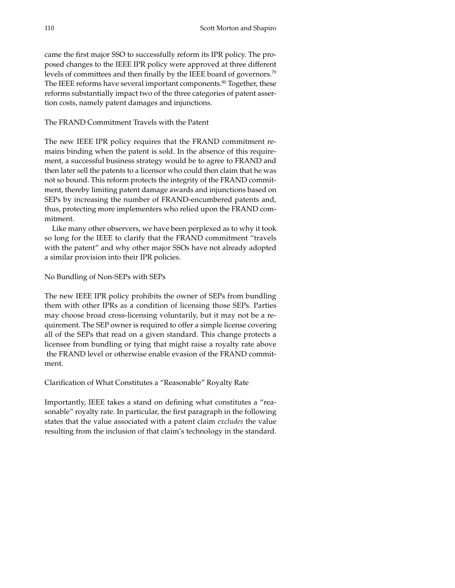came the first major SSO to successfully reform its IPR policy. The proposed changes to the IEEE IPR policy were approved at three different levels of committees and then finally by the IEEE board of governors.<sup>79</sup> The IEEE reforms have several important components.<sup>80</sup> Together, these reforms substantially impact two of the three categories of patent assertion costs, namely patent damages and injunctions.

# The FRAND Commitment Travels with the Patent

The new IEEE IPR policy requires that the FRAND commitment remains binding when the patent is sold. In the absence of this requirement, a successful business strategy would be to agree to FRAND and then later sell the patents to a licensor who could then claim that he was not so bound. This reform protects the integrity of the FRAND commitment, thereby limiting patent damage awards and injunctions based on SEPs by increasing the number of FRAND-encumbered patents and, thus, protecting more implementers who relied upon the FRAND commitment.

Like many other observers, we have been perplexed as to why it took so long for the IEEE to clarify that the FRAND commitment "travels with the patent" and why other major SSOs have not already adopted a similar provision into their IPR policies.

# No Bundling of Non-SEPs with SEPs

The new IEEE IPR policy prohibits the owner of SEPs from bundling them with other IPRs as a condition of licensing those SEPs. Parties may choose broad cross- licensing voluntarily, but it may not be a requirement. The SEP owner is required to offer a simple license covering all of the SEPs that read on a given standard. This change protects a licensee from bundling or tying that might raise a royalty rate above the FRAND level or otherwise enable evasion of the FRAND commitment.

Clarification of What Constitutes a "Reasonable" Royalty Rate

Importantly, IEEE takes a stand on defining what constitutes a "reasonable" royalty rate. In particular, the first paragraph in the following states that the value associated with a patent claim *excludes* the value resulting from the inclusion of that claim's technology in the standard.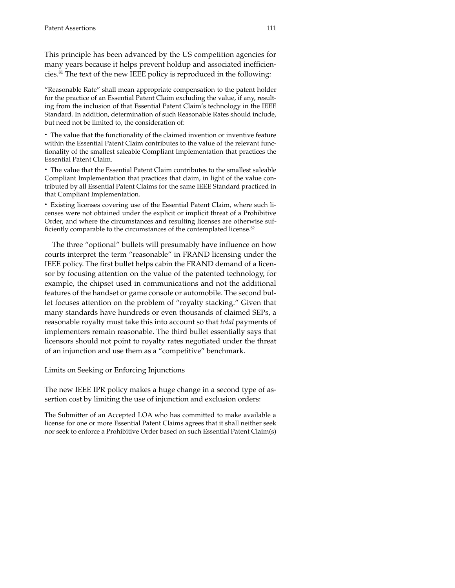This principle has been advanced by the US competition agencies for many years because it helps prevent holdup and associated inefficiencies.81 The text of the new IEEE policy is reproduced in the following:

"Reasonable Rate" shall mean appropriate compensation to the patent holder for the practice of an Essential Patent Claim excluding the value, if any, resulting from the inclusion of that Essential Patent Claim's technology in the IEEE Standard. In addition, determination of such Reasonable Rates should include, but need not be limited to, the consideration of:

• The value that the functionality of the claimed invention or inventive feature within the Essential Patent Claim contributes to the value of the relevant functionality of the smallest saleable Compliant Implementation that practices the Essential Patent Claim.

• The value that the Essential Patent Claim contributes to the smallest saleable Compliant Implementation that practices that claim, in light of the value contributed by all Essential Patent Claims for the same IEEE Standard practiced in that Compliant Implementation.

• Existing licenses covering use of the Essential Patent Claim, where such licenses were not obtained under the explicit or implicit threat of a Prohibitive Order, and where the circumstances and resulting licenses are otherwise sufficiently comparable to the circumstances of the contemplated license.<sup>82</sup>

The three "optional" bullets will presumably have influence on how courts interpret the term "reasonable" in FRAND licensing under the IEEE policy. The first bullet helps cabin the FRAND demand of a licensor by focusing attention on the value of the patented technology, for example, the chipset used in communications and not the additional features of the handset or game console or automobile. The second bullet focuses attention on the problem of "royalty stacking." Given that many standards have hundreds or even thousands of claimed SEPs, a reasonable royalty must take this into account so that *total* payments of implementers remain reasonable. The third bullet essentially says that licensors should not point to royalty rates negotiated under the threat of an injunction and use them as a "competitive" benchmark.

Limits on Seeking or Enforcing Injunctions

The new IEEE IPR policy makes a huge change in a second type of assertion cost by limiting the use of injunction and exclusion orders:

The Submitter of an Accepted LOA who has committed to make available a license for one or more Essential Patent Claims agrees that it shall neither seek nor seek to enforce a Prohibitive Order based on such Essential Patent Claim(s)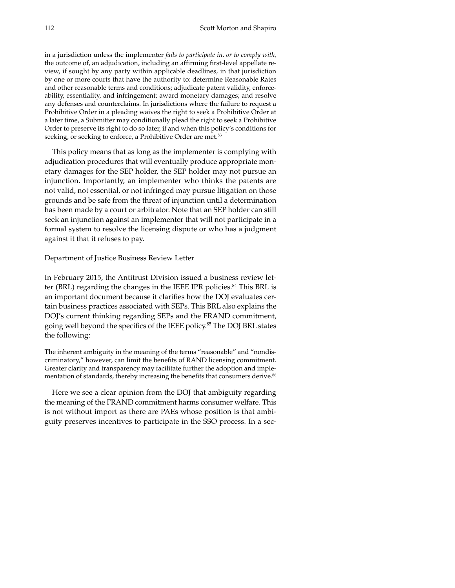in a jurisdiction unless the implementer *fails to participate in, or to comply with,* the outcome of, an adjudication, including an affirming first- level appellate review, if sought by any party within applicable deadlines, in that jurisdiction by one or more courts that have the authority to: determine Reasonable Rates and other reasonable terms and conditions; adjudicate patent validity, enforceability, essentiality, and infringement; award monetary damages; and resolve any defenses and counterclaims. In jurisdictions where the failure to request a Prohibitive Order in a pleading waives the right to seek a Prohibitive Order at a later time, a Submitter may conditionally plead the right to seek a Prohibitive Order to preserve its right to do so later, if and when this policy's conditions for seeking, or seeking to enforce, a Prohibitive Order are met.<sup>83</sup>

This policy means that as long as the implementer is complying with adjudication procedures that will eventually produce appropriate monetary damages for the SEP holder, the SEP holder may not pursue an injunction. Importantly, an implementer who thinks the patents are not valid, not essential, or not infringed may pursue litigation on those grounds and be safe from the threat of injunction until a determination has been made by a court or arbitrator. Note that an SEP holder can still seek an injunction against an implementer that will not participate in a formal system to resolve the licensing dispute or who has a judgment against it that it refuses to pay.

Department of Justice Business Review Letter

In February 2015, the Antitrust Division issued a business review letter (BRL) regarding the changes in the IEEE IPR policies.<sup>84</sup> This BRL is an important document because it clarifies how the DOJ evaluates certain business practices associated with SEPs. This BRL also explains the DOJ's current thinking regarding SEPs and the FRAND commitment, going well beyond the specifics of the IEEE policy.<sup>85</sup> The DOJ BRL states the following:

The inherent ambiguity in the meaning of the terms "reasonable" and "nondiscriminatory," however, can limit the benefits of RAND licensing commitment. Greater clarity and transparency may facilitate further the adoption and implementation of standards, thereby increasing the benefits that consumers derive.<sup>86</sup>

Here we see a clear opinion from the DOJ that ambiguity regarding the meaning of the FRAND commitment harms consumer welfare. This is not without import as there are PAEs whose position is that ambiguity preserves incentives to participate in the SSO process. In a sec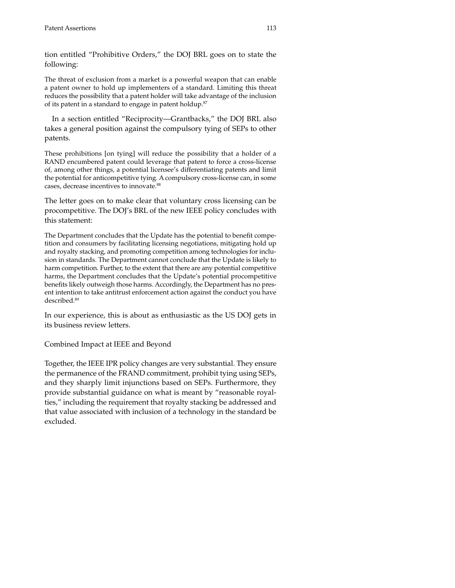tion entitled "Prohibitive Orders," the DOJ BRL goes on to state the following:

The threat of exclusion from a market is a powerful weapon that can enable a patent owner to hold up implementers of a standard. Limiting this threat reduces the possibility that a patent holder will take advantage of the inclusion of its patent in a standard to engage in patent holdup.<sup>87</sup>

In a section entitled "Reciprocity—Grantbacks," the DOJ BRL also takes a general position against the compulsory tying of SEPs to other patents.

These prohibitions [on tying] will reduce the possibility that a holder of a RAND encumbered patent could leverage that patent to force a cross-license of, among other things, a potential licensee's differentiating patents and limit the potential for anticompetitive tying. A compulsory cross- license can, in some cases, decrease incentives to innovate.88

The letter goes on to make clear that voluntary cross licensing can be procompetitive. The DOJ's BRL of the new IEEE policy concludes with this statement:

The Department concludes that the Update has the potential to benefit competition and consumers by facilitating licensing negotiations, mitigating hold up and royalty stacking, and promoting competition among technologies for inclusion in standards. The Department cannot conclude that the Update is likely to harm competition. Further, to the extent that there are any potential competitive harms, the Department concludes that the Update's potential procompetitive benefits likely outweigh those harms. Accordingly, the Department has no present intention to take antitrust enforcement action against the conduct you have described.89

In our experience, this is about as enthusiastic as the US DOJ gets in its business review letters.

Combined Impact at IEEE and Beyond

Together, the IEEE IPR policy changes are very substantial. They ensure the permanence of the FRAND commitment, prohibit tying using SEPs, and they sharply limit injunctions based on SEPs. Furthermore, they provide substantial guidance on what is meant by "reasonable royalties," including the requirement that royalty stacking be addressed and that value associated with inclusion of a technology in the standard be excluded.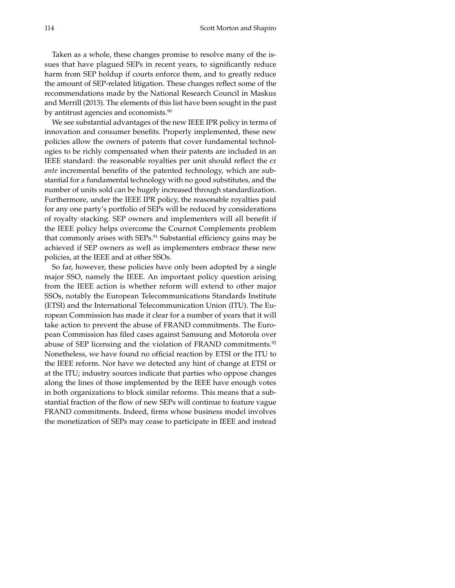Taken as a whole, these changes promise to resolve many of the issues that have plagued SEPs in recent years, to significantly reduce harm from SEP holdup if courts enforce them, and to greatly reduce the amount of SEP- related litigation. These changes reflect some of the recommendations made by the National Research Council in Maskus and Merrill (2013). The elements of this list have been sought in the past by antitrust agencies and economists.<sup>90</sup>

We see substantial advantages of the new IEEE IPR policy in terms of innovation and consumer benefits. Properly implemented, these new policies allow the owners of patents that cover fundamental technologies to be richly compensated when their patents are included in an IEEE standard: the reasonable royalties per unit should reflect the *ex ante* incremental benefits of the patented technology, which are substantial for a fundamental technology with no good substitutes, and the number of units sold can be hugely increased through standardization. Furthermore, under the IEEE IPR policy, the reasonable royalties paid for any one party's portfolio of SEPs will be reduced by considerations of royalty stacking. SEP owners and implementers will all benefit if the IEEE policy helps overcome the Cournot Complements problem that commonly arises with SEPs.<sup>91</sup> Substantial efficiency gains may be achieved if SEP owners as well as implementers embrace these new policies, at the IEEE and at other SSOs.

So far, however, these policies have only been adopted by a single major SSO, namely the IEEE. An important policy question arising from the IEEE action is whether reform will extend to other major SSOs, notably the European Telecommunications Standards Institute (ETSI) and the International Telecommunication Union (ITU). The European Commission has made it clear for a number of years that it will take action to prevent the abuse of FRAND commitments. The European Commission has filed cases against Samsung and Motorola over abuse of SEP licensing and the violation of FRAND commitments.<sup>92</sup> Nonetheless, we have found no official reaction by ETSI or the ITU to the IEEE reform. Nor have we detected any hint of change at ETSI or at the ITU; industry sources indicate that parties who oppose changes along the lines of those implemented by the IEEE have enough votes in both organizations to block similar reforms. This means that a substantial fraction of the flow of new SEPs will continue to feature vague FRAND commitments. Indeed, firms whose business model involves the monetization of SEPs may cease to participate in IEEE and instead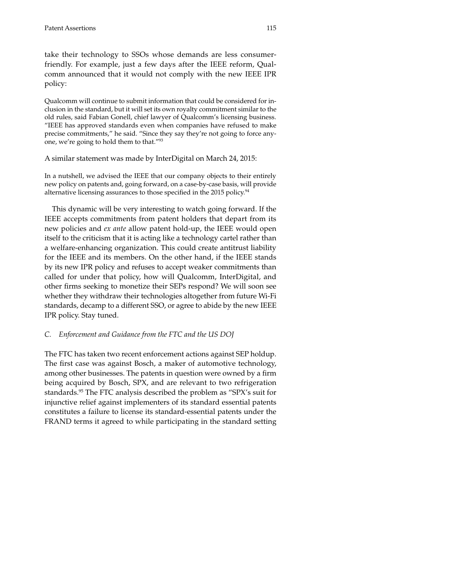take their technology to SSOs whose demands are less consumerfriendly. For example, just a few days after the IEEE reform, Qualcomm announced that it would not comply with the new IEEE IPR policy:

Qualcomm will continue to submit information that could be considered for inclusion in the standard, but it will set its own royalty commitment similar to the old rules, said Fabian Gonell, chief lawyer of Qualcomm's licensing business. "IEEE has approved standards even when companies have refused to make precise commitments," he said. "Since they say they're not going to force anyone, we're going to hold them to that."93

# A similar statement was made by InterDigital on March 24, 2015:

In a nutshell, we advised the IEEE that our company objects to their entirely new policy on patents and, going forward, on a case-by-case basis, will provide alternative licensing assurances to those specified in the 2015 policy.<sup>94</sup>

This dynamic will be very interesting to watch going forward. If the IEEE accepts commitments from patent holders that depart from its new policies and *ex ante* allow patent hold-up, the IEEE would open itself to the criticism that it is acting like a technology cartel rather than a welfare-enhancing organization. This could create antitrust liability for the IEEE and its members. On the other hand, if the IEEE stands by its new IPR policy and refuses to accept weaker commitments than called for under that policy, how will Qualcomm, InterDigital, and other firms seeking to monetize their SEPs respond? We will soon see whether they withdraw their technologies altogether from future Wi-Fi standards, decamp to a different SSO, or agree to abide by the new IEEE IPR policy. Stay tuned.

# *C. Enforcement and Guidance from the FTC and the US DOJ*

The FTC has taken two recent enforcement actions against SEP holdup. The first case was against Bosch, a maker of automotive technology, among other businesses. The patents in question were owned by a firm being acquired by Bosch, SPX, and are relevant to two refrigeration standards.95 The FTC analysis described the problem as "SPX's suit for injunctive relief against implementers of its standard essential patents constitutes a failure to license its standard- essential patents under the FRAND terms it agreed to while participating in the standard setting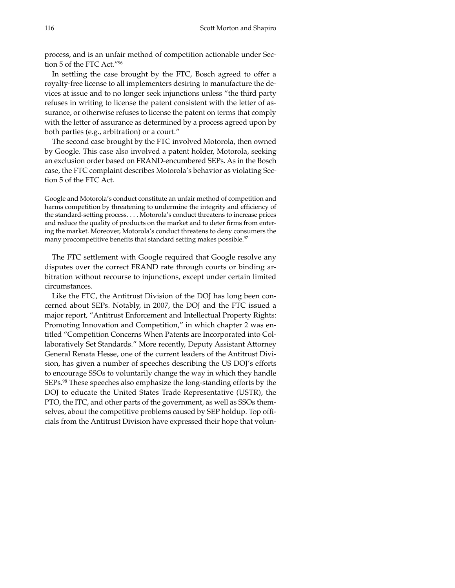process, and is an unfair method of competition actionable under Section 5 of the FTC Act."96

In settling the case brought by the FTC, Bosch agreed to offer a royalty- free license to all implementers desiring to manufacture the devices at issue and to no longer seek injunctions unless "the third party refuses in writing to license the patent consistent with the letter of assurance, or otherwise refuses to license the patent on terms that comply with the letter of assurance as determined by a process agreed upon by both parties (e.g., arbitration) or a court."

The second case brought by the FTC involved Motorola, then owned by Google. This case also involved a patent holder, Motorola, seeking an exclusion order based on FRAND-encumbered SEPs. As in the Bosch case, the FTC complaint describes Motorola's behavior as violating Section 5 of the FTC Act.

Google and Motorola's conduct constitute an unfair method of competition and harms competition by threatening to undermine the integrity and efficiency of the standard- setting process. . . . Motorola's conduct threatens to increase prices and reduce the quality of products on the market and to deter firms from entering the market. Moreover, Motorola's conduct threatens to deny consumers the many procompetitive benefits that standard setting makes possible.<sup>97</sup>

The FTC settlement with Google required that Google resolve any disputes over the correct FRAND rate through courts or binding arbitration without recourse to injunctions, except under certain limited circumstances.

Like the FTC, the Antitrust Division of the DOJ has long been concerned about SEPs. Notably, in 2007, the DOJ and the FTC issued a major report, "Antitrust Enforcement and Intellectual Property Rights: Promoting Innovation and Competition," in which chapter 2 was entitled "Competition Concerns When Patents are Incorporated into Collaboratively Set Standards." More recently, Deputy Assistant Attorney General Renata Hesse, one of the current leaders of the Antitrust Division, has given a number of speeches describing the US DOJ's efforts to encourage SSOs to voluntarily change the way in which they handle SEPs.<sup>98</sup> These speeches also emphasize the long-standing efforts by the DOJ to educate the United States Trade Representative (USTR), the PTO, the ITC, and other parts of the government, as well as SSOs themselves, about the competitive problems caused by SEP holdup. Top officials from the Antitrust Division have expressed their hope that volun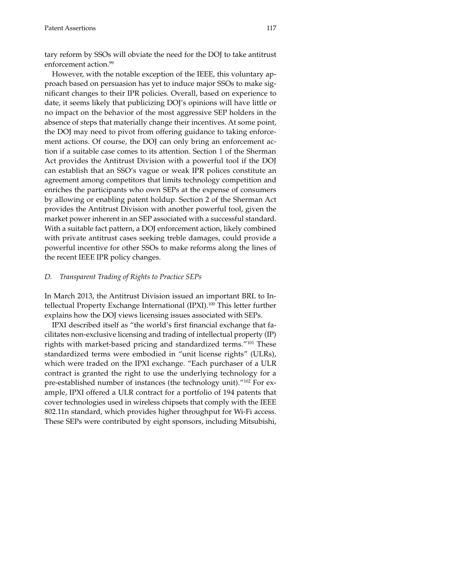tary reform by SSOs will obviate the need for the DOJ to take antitrust enforcement action.<sup>99</sup>

However, with the notable exception of the IEEE, this voluntary approach based on persuasion has yet to induce major SSOs to make significant changes to their IPR policies. Overall, based on experience to date, it seems likely that publicizing DOJ's opinions will have little or no impact on the behavior of the most aggressive SEP holders in the absence of steps that materially change their incentives. At some point, the DOJ may need to pivot from offering guidance to taking enforcement actions. Of course, the DOJ can only bring an enforcement action if a suitable case comes to its attention. Section 1 of the Sherman Act provides the Antitrust Division with a powerful tool if the DOJ can establish that an SSO's vague or weak IPR polices constitute an agreement among competitors that limits technology competition and enriches the participants who own SEPs at the expense of consumers by allowing or enabling patent holdup. Section 2 of the Sherman Act provides the Antitrust Division with another powerful tool, given the market power inherent in an SEP associated with a successful standard. With a suitable fact pattern, a DOJ enforcement action, likely combined with private antitrust cases seeking treble damages, could provide a powerful incentive for other SSOs to make reforms along the lines of the recent IEEE IPR policy changes.

## *D. Transparent Trading of Rights to Practice SEPs*

In March 2013, the Antitrust Division issued an important BRL to Intellectual Property Exchange International (IPXI).<sup>100</sup> This letter further explains how the DOJ views licensing issues associated with SEPs.

IPXI described itself as "the world's first financial exchange that facilitates non-exclusive licensing and trading of intellectual property (IP) rights with market-based pricing and standardized terms."<sup>101</sup> These standardized terms were embodied in "unit license rights" (ULRs), which were traded on the IPXI exchange. "Each purchaser of a ULR contract is granted the right to use the underlying technology for a pre-established number of instances (the technology unit)."<sup>102</sup> For example, IPXI offered a ULR contract for a portfolio of 194 patents that cover technologies used in wireless chipsets that comply with the IEEE 802.11n standard, which provides higher throughput for Wi-Fi access. These SEPs were contributed by eight sponsors, including Mitsubishi,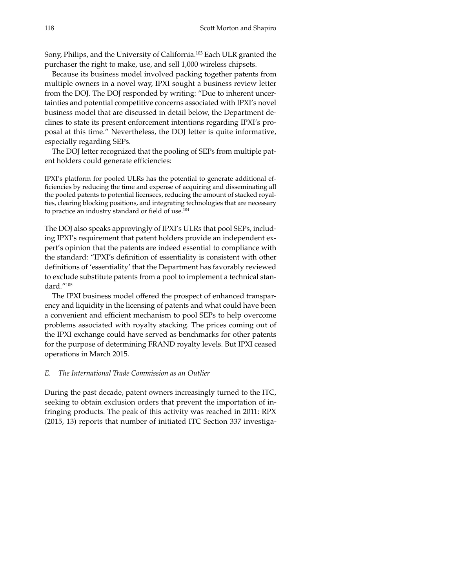Sony, Philips, and the University of California.<sup>103</sup> Each ULR granted the purchaser the right to make, use, and sell 1,000 wireless chipsets.

Because its business model involved packing together patents from multiple owners in a novel way, IPXI sought a business review letter from the DOJ. The DOJ responded by writing: "Due to inherent uncertainties and potential competitive concerns associated with IPXI's novel business model that are discussed in detail below, the Department declines to state its present enforcement intentions regarding IPXI's proposal at this time." Nevertheless, the DOJ letter is quite informative, especially regarding SEPs.

The DOJ letter recognized that the pooling of SEPs from multiple patent holders could generate efficiencies:

IPXI's platform for pooled ULRs has the potential to generate additional efficiencies by reducing the time and expense of acquiring and disseminating all the pooled patents to potential licensees, reducing the amount of stacked royalties, clearing blocking positions, and integrating technologies that are necessary to practice an industry standard or field of use.<sup>104</sup>

The DOJ also speaks approvingly of IPXI's ULRs that pool SEPs, including IPXI's requirement that patent holders provide an independent expert's opinion that the patents are indeed essential to compliance with the standard: "IPXI's definition of essentiality is consistent with other definitions of 'essentiality' that the Department has favorably reviewed to exclude substitute patents from a pool to implement a technical standard."105

The IPXI business model offered the prospect of enhanced transparency and liquidity in the licensing of patents and what could have been a convenient and efficient mechanism to pool SEPs to help overcome problems associated with royalty stacking. The prices coming out of the IPXI exchange could have served as benchmarks for other patents for the purpose of determining FRAND royalty levels. But IPXI ceased operations in March 2015.

#### *E. The International Trade Commission as an Outlier*

During the past decade, patent owners increasingly turned to the ITC, seeking to obtain exclusion orders that prevent the importation of infringing products. The peak of this activity was reached in 2011: RPX (2015, 13) reports that number of initiated ITC Section 337 investiga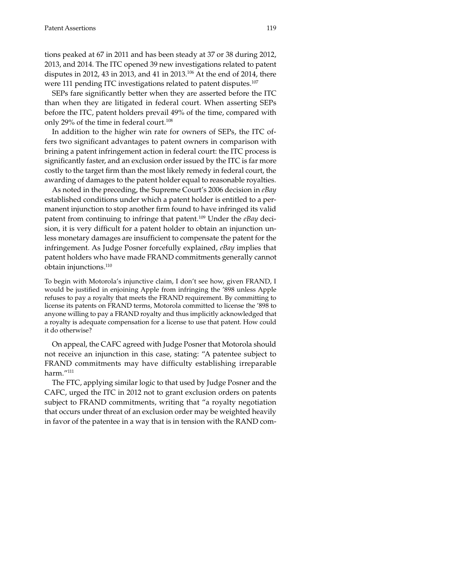tions peaked at 67 in 2011 and has been steady at 37 or 38 during 2012, 2013, and 2014. The ITC opened 39 new investigations related to patent disputes in 2012, 43 in 2013, and 41 in 2013.106 At the end of 2014, there were 111 pending ITC investigations related to patent disputes.<sup>107</sup>

SEPs fare significantly better when they are asserted before the ITC than when they are litigated in federal court. When asserting SEPs before the ITC, patent holders prevail 49% of the time, compared with only 29% of the time in federal court.<sup>108</sup>

In addition to the higher win rate for owners of SEPs, the ITC offers two significant advantages to patent owners in comparison with brining a patent infringement action in federal court: the ITC process is significantly faster, and an exclusion order issued by the ITC is far more costly to the target firm than the most likely remedy in federal court, the awarding of damages to the patent holder equal to reasonable royalties.

As noted in the preceding, the Supreme Court's 2006 decision in *eBay* established conditions under which a patent holder is entitled to a permanent injunction to stop another firm found to have infringed its valid patent from continuing to infringe that patent.109 Under the *eBay* decision, it is very difficult for a patent holder to obtain an injunction unless monetary damages are insufficient to compensate the patent for the infringement. As Judge Posner forcefully explained, *eBay* implies that patent holders who have made FRAND commitments generally cannot obtain injunctions.<sup>110</sup>

To begin with Motorola's injunctive claim, I don't see how, given FRAND, I would be justified in enjoining Apple from infringing the '898 unless Apple refuses to pay a royalty that meets the FRAND requirement. By committing to license its patents on FRAND terms, Motorola committed to license the '898 to anyone willing to pay a FRAND royalty and thus implicitly acknowledged that a royalty is adequate compensation for a license to use that patent. How could it do otherwise?

On appeal, the CAFC agreed with Judge Posner that Motorola should not receive an injunction in this case, stating: "A patentee subject to FRAND commitments may have difficulty establishing irreparable harm."111

The FTC, applying similar logic to that used by Judge Posner and the CAFC, urged the ITC in 2012 not to grant exclusion orders on patents subject to FRAND commitments, writing that "a royalty negotiation that occurs under threat of an exclusion order may be weighted heavily in favor of the patentee in a way that is in tension with the RAND com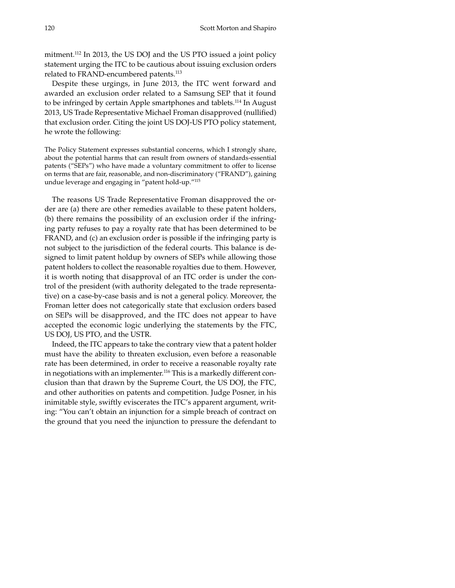mitment.112 In 2013, the US DOJ and the US PTO issued a joint policy statement urging the ITC to be cautious about issuing exclusion orders related to FRAND-encumbered patents.<sup>113</sup>

Despite these urgings, in June 2013, the ITC went forward and awarded an exclusion order related to a Samsung SEP that it found to be infringed by certain Apple smartphones and tablets.<sup>114</sup> In August 2013, US Trade Representative Michael Froman disapproved (nullified) that exclusion order. Citing the joint US DOJ-US PTO policy statement, he wrote the following:

The Policy Statement expresses substantial concerns, which I strongly share, about the potential harms that can result from owners of standards-essential patents ("SEPs") who have made a voluntary commitment to offer to license on terms that are fair, reasonable, and non- discriminatory ("FRAND"), gaining undue leverage and engaging in "patent hold-up."115

The reasons US Trade Representative Froman disapproved the order are (a) there are other remedies available to these patent holders, (b) there remains the possibility of an exclusion order if the infringing party refuses to pay a royalty rate that has been determined to be FRAND, and (c) an exclusion order is possible if the infringing party is not subject to the jurisdiction of the federal courts. This balance is designed to limit patent holdup by owners of SEPs while allowing those patent holders to collect the reasonable royalties due to them. However, it is worth noting that disapproval of an ITC order is under the control of the president (with authority delegated to the trade representative) on a case-by-case basis and is not a general policy. Moreover, the Froman letter does not categorically state that exclusion orders based on SEPs will be disapproved, and the ITC does not appear to have accepted the economic logic underlying the statements by the FTC, US DOJ, US PTO, and the USTR.

Indeed, the ITC appears to take the contrary view that a patent holder must have the ability to threaten exclusion, even before a reasonable rate has been determined, in order to receive a reasonable royalty rate in negotiations with an implementer.<sup>116</sup> This is a markedly different conclusion than that drawn by the Supreme Court, the US DOJ, the FTC, and other authorities on patents and competition. Judge Posner, in his inimitable style, swiftly eviscerates the ITC's apparent argument, writing: "You can't obtain an injunction for a simple breach of contract on the ground that you need the injunction to pressure the defendant to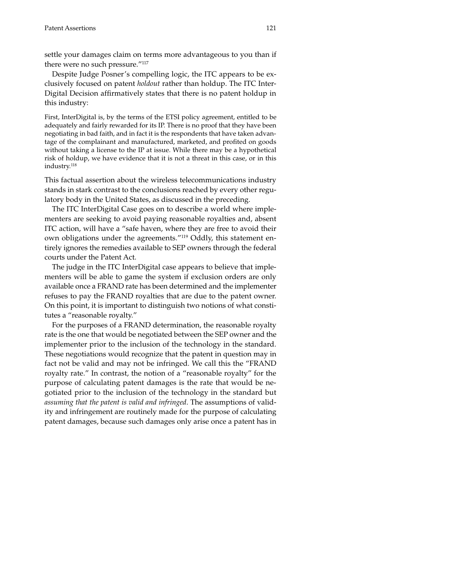settle your damages claim on terms more advantageous to you than if there were no such pressure."117

Despite Judge Posner's compelling logic, the ITC appears to be exclusively focused on patent *holdout* rather than holdup. The ITC Inter-Digital Decision affirmatively states that there is no patent holdup in this industry:

First, InterDigital is, by the terms of the ETSI policy agreement, entitled to be adequately and fairly rewarded for its IP. There is no proof that they have been negotiating in bad faith, and in fact it is the respondents that have taken advantage of the complainant and manufactured, marketed, and profited on goods without taking a license to the IP at issue. While there may be a hypothetical risk of holdup, we have evidence that it is not a threat in this case, or in this industry.<sup>118</sup>

This factual assertion about the wireless telecommunications industry stands in stark contrast to the conclusions reached by every other regulatory body in the United States, as discussed in the preceding.

The ITC InterDigital Case goes on to describe a world where implementers are seeking to avoid paying reasonable royalties and, absent ITC action, will have a "safe haven, where they are free to avoid their own obligations under the agreements."119 Oddly, this statement entirely ignores the remedies available to SEP owners through the federal courts under the Patent Act.

The judge in the ITC InterDigital case appears to believe that implementers will be able to game the system if exclusion orders are only available once a FRAND rate has been determined and the implementer refuses to pay the FRAND royalties that are due to the patent owner. On this point, it is important to distinguish two notions of what constitutes a "reasonable royalty."

For the purposes of a FRAND determination, the reasonable royalty rate is the one that would be negotiated between the SEP owner and the implementer prior to the inclusion of the technology in the standard. These negotiations would recognize that the patent in question may in fact not be valid and may not be infringed. We call this the "FRAND royalty rate." In contrast, the notion of a "reasonable royalty" for the purpose of calculating patent damages is the rate that would be negotiated prior to the inclusion of the technology in the standard but *assuming that the patent is valid and infringed*. The assumptions of validity and infringement are routinely made for the purpose of calculating patent damages, because such damages only arise once a patent has in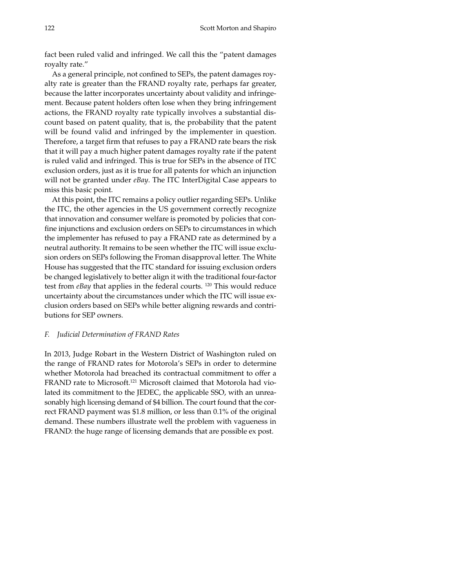fact been ruled valid and infringed. We call this the "patent damages royalty rate."

As a general principle, not confined to SEPs, the patent damages royalty rate is greater than the FRAND royalty rate, perhaps far greater, because the latter incorporates uncertainty about validity and infringement. Because patent holders often lose when they bring infringement actions, the FRAND royalty rate typically involves a substantial discount based on patent quality, that is, the probability that the patent will be found valid and infringed by the implementer in question. Therefore, a target firm that refuses to pay a FRAND rate bears the risk that it will pay a much higher patent damages royalty rate if the patent is ruled valid and infringed. This is true for SEPs in the absence of ITC exclusion orders, just as it is true for all patents for which an injunction will not be granted under *eBay*. The ITC InterDigital Case appears to miss this basic point.

At this point, the ITC remains a policy outlier regarding SEPs. Unlike the ITC, the other agencies in the US government correctly recognize that innovation and consumer welfare is promoted by policies that confine injunctions and exclusion orders on SEPs to circumstances in which the implementer has refused to pay a FRAND rate as determined by a neutral authority. It remains to be seen whether the ITC will issue exclusion orders on SEPs following the Froman disapproval letter. The White House has suggested that the ITC standard for issuing exclusion orders be changed legislatively to better align it with the traditional four-factor test from *eBay* that applies in the federal courts. 120 This would reduce uncertainty about the circumstances under which the ITC will issue exclusion orders based on SEPs while better aligning rewards and contributions for SEP owners.

#### *F. Judicial Determination of FRAND Rates*

In 2013, Judge Robart in the Western District of Washington ruled on the range of FRAND rates for Motorola's SEPs in order to determine whether Motorola had breached its contractual commitment to offer a FRAND rate to Microsoft.121 Microsoft claimed that Motorola had violated its commitment to the JEDEC, the applicable SSO, with an unreasonably high licensing demand of \$4 billion. The court found that the correct FRAND payment was \$1.8 million, or less than 0.1% of the original demand. These numbers illustrate well the problem with vagueness in FRAND: the huge range of licensing demands that are possible ex post.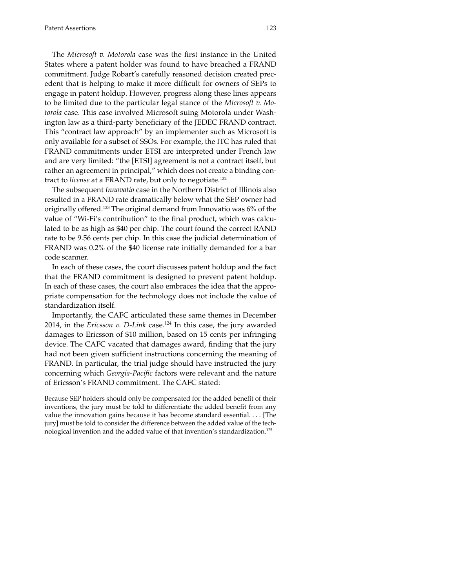The *Microsoft v. Motorola* case was the first instance in the United States where a patent holder was found to have breached a FRAND commitment. Judge Robart's carefully reasoned decision created precedent that is helping to make it more difficult for owners of SEPs to engage in patent holdup. However, progress along these lines appears to be limited due to the particular legal stance of the *Microsoft v. Motorola* case. This case involved Microsoft suing Motorola under Washington law as a third-party beneficiary of the JEDEC FRAND contract. This "contract law approach" by an implementer such as Microsoft is only available for a subset of SSOs. For example, the ITC has ruled that FRAND commitments under ETSI are interpreted under French law and are very limited: "the [ETSI] agreement is not a contract itself, but rather an agreement in principal," which does not create a binding contract to *license* at a FRAND rate, but only to negotiate.<sup>122</sup>

The subsequent *Innovatio* case in the Northern District of Illinois also resulted in a FRAND rate dramatically below what the SEP owner had originally offered.123 The original demand from Innovatio was 6% of the value of "Wi-Fi's contribution" to the final product, which was calculated to be as high as \$40 per chip. The court found the correct RAND rate to be 9.56 cents per chip. In this case the judicial determination of FRAND was 0.2% of the \$40 license rate initially demanded for a bar code scanner.

In each of these cases, the court discusses patent holdup and the fact that the FRAND commitment is designed to prevent patent holdup. In each of these cases, the court also embraces the idea that the appropriate compensation for the technology does not include the value of standardization itself.

Importantly, the CAFC articulated these same themes in December 2014, in the *Ericsson v. D-Link* case.<sup>124</sup> In this case, the jury awarded damages to Ericsson of \$10 million, based on 15 cents per infringing device. The CAFC vacated that damages award, finding that the jury had not been given sufficient instructions concerning the meaning of FRAND. In particular, the trial judge should have instructed the jury concerning which *Georgia- Pacific* factors were relevant and the nature of Ericsson's FRAND commitment. The CAFC stated:

Because SEP holders should only be compensated for the added benefit of their inventions, the jury must be told to differentiate the added benefit from any value the innovation gains because it has become standard essential. . . . [The jury] must be told to consider the difference between the added value of the technological invention and the added value of that invention's standardization.125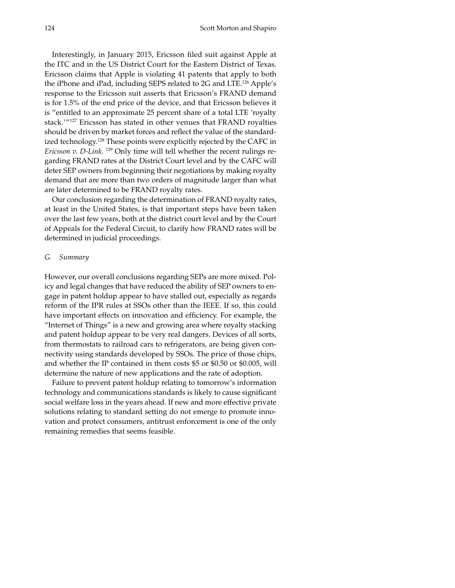Interestingly, in January 2015, Ericsson filed suit against Apple at the ITC and in the US District Court for the Eastern District of Texas. Ericsson claims that Apple is violating 41 patents that apply to both the iPhone and iPad, including SEPS related to 2G and LTE.126 Apple's response to the Ericsson suit asserts that Ericsson's FRAND demand is for 1.5% of the end price of the device, and that Ericsson believes it is "entitled to an approximate 25 percent share of a total LTE 'royalty stack.'"<sup>127</sup> Ericsson has stated in other venues that FRAND royalties should be driven by market forces and reflect the value of the standardized technology.<sup>128</sup> These points were explicitly rejected by the CAFC in *Ericsson v. D-Link*. 129 Only time will tell whether the recent rulings regarding FRAND rates at the District Court level and by the CAFC will deter SEP owners from beginning their negotiations by making royalty demand that are more than two orders of magnitude larger than what are later determined to be FRAND royalty rates.

Our conclusion regarding the determination of FRAND royalty rates, at least in the United States, is that important steps have been taken over the last few years, both at the district court level and by the Court of Appeals for the Federal Circuit, to clarify how FRAND rates will be determined in judicial proceedings.

#### *G. Summary*

However, our overall conclusions regarding SEPs are more mixed. Policy and legal changes that have reduced the ability of SEP owners to engage in patent holdup appear to have stalled out, especially as regards reform of the IPR rules at SSOs other than the IEEE. If so, this could have important effects on innovation and efficiency. For example, the "Internet of Things" is a new and growing area where royalty stacking and patent holdup appear to be very real dangers. Devices of all sorts, from thermostats to railroad cars to refrigerators, are being given connectivity using standards developed by SSOs. The price of those chips, and whether the IP contained in them costs \$5 or \$0.50 or \$0.005, will determine the nature of new applications and the rate of adoption.

Failure to prevent patent holdup relating to tomorrow's information technology and communications standards is likely to cause significant social welfare loss in the years ahead. If new and more effective private solutions relating to standard setting do not emerge to promote innovation and protect consumers, antitrust enforcement is one of the only remaining remedies that seems feasible.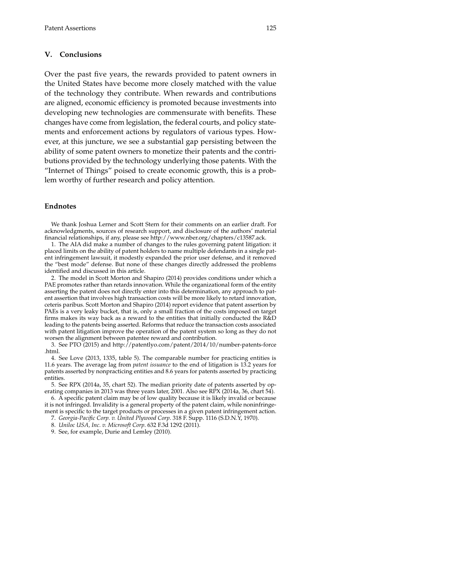# **V. Conclusions**

Over the past five years, the rewards provided to patent owners in the United States have become more closely matched with the value of the technology they contribute. When rewards and contributions are aligned, economic efficiency is promoted because investments into developing new technologies are commensurate with benefits. These changes have come from legislation, the federal courts, and policy statements and enforcement actions by regulators of various types. However, at this juncture, we see a substantial gap persisting between the ability of some patent owners to monetize their patents and the contributions provided by the technology underlying those patents. With the "Internet of Things" poised to create economic growth, this is a problem worthy of further research and policy attention.

# **Endnotes**

We thank Joshua Lerner and Scott Stern for their comments on an earlier draft. For acknowledgments, sources of research support, and disclosure of the authors' material financial relationships, if any, please see http:// www .nber .org/ chapters/ c13587.ack.

1. The AIA did make a number of changes to the rules governing patent litigation: it placed limits on the ability of patent holders to name multiple defendants in a single patent infringement lawsuit, it modestly expanded the prior user defense, and it removed the "best mode" defense. But none of these changes directly addressed the problems identified and discussed in this article.

2. The model in Scott Morton and Shapiro (2014) provides conditions under which a PAE promotes rather than retards innovation. While the organizational form of the entity asserting the patent does not directly enter into this determination, any approach to patent assertion that involves high transaction costs will be more likely to retard innovation, ceteris paribus. Scott Morton and Shapiro (2014) report evidence that patent assertion by PAEs is a very leaky bucket, that is, only a small fraction of the costs imposed on target firms makes its way back as a reward to the entities that initially conducted the R&D leading to the patents being asserted. Reforms that reduce the transaction costs associated with patent litigation improve the operation of the patent system so long as they do not worsen the alignment between patentee reward and contribution.

3. See PTO (2015) and http:// patentlyo .com/ patent/ 2014/ 10/ number- patents- force .html.

4. See Love (2013, 1335, table 5). The comparable number for practicing entities is 11.6 years. The average lag from *patent issuance* to the end of litigation is 13.2 years for patents asserted by nonpracticing entities and 8.6 years for patents asserted by practicing entities.

5. See RPX (2014a, 35, chart 52). The median priority date of patents asserted by operating companies in 2013 was three years later, 2001. Also see RPX (2014a, 36, chart 54).

6. A specific patent claim may be of low quality because it is likely invalid or because it is not infringed. Invalidity is a general property of the patent claim, while noninfringement is specific to the target products or processes in a given patent infringement action.

7. *Georgia- Pacific Corp. v. United Plywood Corp*. 318 F. Supp. 1116 (S.D.N.Y, 1970).

8. *Uniloc USA, Inc. v. Microsoft Corp*. 632 F.3d 1292 (2011).

9. See, for example, Durie and Lemley (2010).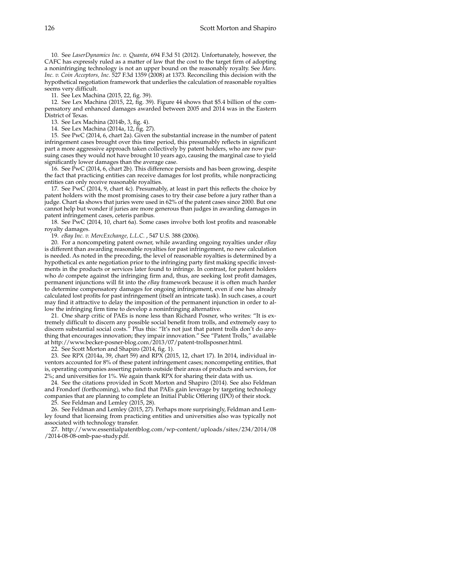10. See *LaserDynamics Inc. v. Quanta*, 694 F.3d 51 (2012). Unfortunately, however, the CAFC has expressly ruled as a matter of law that the cost to the target firm of adopting a noninfringing technology is not an upper bound on the reasonably royalty. See *Mars. Inc. v. Coin Acceptors, Inc.* 527 F.3d 1359 (2008) at 1373. Reconciling this decision with the hypothetical negotiation framework that underlies the calculation of reasonable royalties seems very difficult.

11. See Lex Machina (2015, 22, fig. 39).

12. See Lex Machina (2015, 22, fig. 39). Figure 44 shows that \$5.4 billion of the compensatory and enhanced damages awarded between 2005 and 2014 was in the Eastern District of Texas.

13. See Lex Machina (2014b, 3, fig. 4).

14. See Lex Machina (2014a, 12, fig. 27).

15. See PwC (2014, 6, chart 2a). Given the substantial increase in the number of patent infringement cases brought over this time period, this presumably reflects in significant part a more aggressive approach taken collectively by patent holders, who are now pursuing cases they would not have brought 10 years ago, causing the marginal case to yield significantly lower damages than the average case.

16. See PwC (2014, 6, chart 2b). This difference persists and has been growing, despite the fact that practicing entities can receive damages for lost profits, while nonpracticing entities can only receive reasonable royalties.

17. See PwC (2014, 9, chart 4c). Presumably, at least in part this reflects the choice by patent holders with the most promising cases to try their case before a jury rather than a judge. Chart 4a shows that juries were used in 62% of the patent cases since 2000. But one cannot help but wonder if juries are more generous than judges in awarding damages in patent infringement cases, ceteris paribus.

18. See PwC (2014, 10, chart 6a). Some cases involve both lost profits and reasonable royalty damages.

19. *eBay Inc. v. MercExchange, L.L.C.* , 547 U.S. 388 (2006).

20. For a noncompeting patent owner, while awarding ongoing royalties under *eBay* is different than awarding reasonable royalties for past infringement, no new calculation is needed. As noted in the preceding, the level of reasonable royalties is determined by a hypothetical ex ante negotiation prior to the infringing party first making specific investments in the products or services later found to infringe. In contrast, for patent holders who *do* compete against the infringing firm and, thus, are seeking lost profit damages, permanent injunctions will fit into the *eBay* framework because it is often much harder to determine compensatory damages for ongoing infringement, even if one has already calculated lost profits for past infringement (itself an intricate task). In such cases, a court may find it attractive to delay the imposition of the permanent injunction in order to allow the infringing firm time to develop a noninfringing alternative.

21. One sharp critic of PAEs is none less than Richard Posner, who writes: "It is extremely difficult to discern any possible social benefit from trolls, and extremely easy to discern substantial social costs." Plus this: "It's not just that patent trolls don't do anything that encourages innovation; they impair innovation." See "Patent Trolls," available at http://www.becker-posner-blog.com/2013/07/patent-trollsposner.html.

22. See Scott Morton and Shapiro (2014, fig. 1).

23. See RPX (2014a, 39, chart 59) and RPX (2015, 12, chart 17). In 2014, individual inventors accounted for 8% of these patent infringement cases; noncompeting entities, that is, operating companies asserting patents outside their areas of products and services, for 2%; and universities for 1%. We again thank RPX for sharing their data with us.

24. See the citations provided in Scott Morton and Shapiro (2014). See also Feldman and Frondorf (forthcoming), who find that PAEs gain leverage by targeting technology companies that are planning to complete an Initial Public Offering (IPO) of their stock.

25. See Feldman and Lemley (2015, 28).

26. See Feldman and Lemley (2015, 27). Perhaps more surprisingly, Feldman and Lemley found that licensing from practicing entities and universities also was typically not associated with technology transfer.

27. http:// www .essentialpatentblog .com/ wp- content/ uploads/ sites/ 234/ 2014/ 08 /2014-08-08-omb-pae-study.pdf.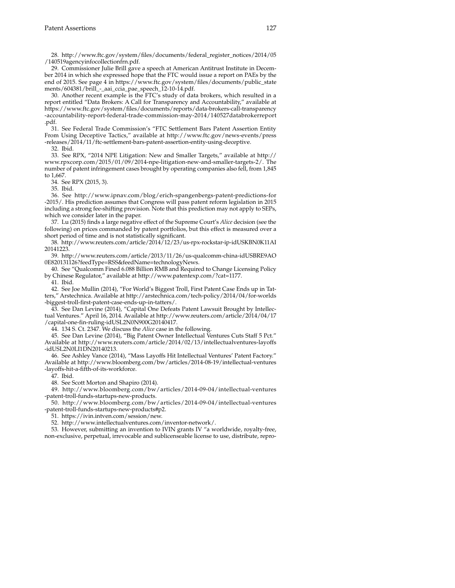28. http:// www .ftc .gov/ system/ files/ documents/ federal\_register\_notices/ 2014/ 05 / 140519agencyinfocollectionfrn .pdf.

29. Commissioner Julie Brill gave a speech at American Antitrust Institute in December 2014 in which she expressed hope that the FTC would issue a report on PAEs by the end of 2015. See page 4 in https:// www .ftc .gov/ system/ files/ documents/ public\_state ments/ 604381/ brill\_- \_aai\_ccia\_pae\_speech\_12-10-14 .pdf.

30. Another recent example is the FTC's study of data brokers, which resulted in a report entitled "Data Brokers: A Call for Transparency and Accountability," available at https:// www .ftc .gov/ system/ files/ documents/ reports/ data- brokers- call- transparency - accountability- report- federal- trade- commission- may- 2014/ 140527databrokerreport .pdf.

31. See Federal Trade Commission's "FTC Settlement Bars Patent Assertion Entity From Using Deceptive Tactics," available at http://www.ftc.gov/news-events/press -releases/2014/11/ftc-settlement-bars-patent-assertion-entity-using-deceptive.

32. Ibid.

33. See RPX, "2014 NPE Litigation: New and Smaller Targets," available at http:// www .rpxcorp .com/ 2015/ 01/ 09/ 2014-npe- litigation- new- and- smaller- targets- 2/ . The number of patent infringement cases brought by operating companies also fell, from 1,845 to 1,667.

34. See RPX (2015, 3).

35. Ibid.

36. See http:// www .ipnav .com/ blog/ erich- spangenbergs- patent- predictions- for - 2015/ . His prediction assumes that Congress will pass patent reform legislation in 2015 including a strong fee- shifting provision. Note that this prediction may not apply to SEPs, which we consider later in the paper.

37. Lu (2015) finds a large negative effect of the Supreme Court's *Alice* decision (see the following) on prices commanded by patent portfolios, but this effect is measured over a short period of time and is not statistically significant.

38. http:// www .reuters .com/ article/ 2014/ 12/ 23/ us- rpx- rockstar- ip- idUSKBN0K11AI 20141223.

39. http:// www .reuters .com/ article/ 2013/ 11/ 26/ us- qualcomm- china- idUSBRE9AO 0E820131126?feedType=RSS&feedName=technologyNews.

40. See "Qualcomm Fined 6.088 Billion RMB and Required to Change Licensing Policy by Chinese Regulator," available at http:// www .patentexp .com/ ?cat=1177.

41. Ibid.

42. See Joe Mullin (2014), "For World's Biggest Troll, First Patent Case Ends up in Tatters," Arstechnica. Available at http:// arstechnica .com/ tech- policy/ 2014/ 04/ for- worlds -biggest-troll-first-patent-case-ends-up-in-tatters/.

43. See Dan Levine (2014), "Capital One Defeats Patent Lawsuit Brought by Intellectual Ventures." April 16, 2014. Available at http://www.reuters.com/article/2014/04/17 /capital-one-fin-ruling-idUSL2N0N900G20140417.

44. 134 S. Ct. 2347. We discuss the *Alice* case in the following.

45. See Dan Levine (2014), "Big Patent Owner Intellectual Ventures Cuts Staff 5 Pct." Available at http://www.reuters.com/article/2014/02/13/intellectualventures-layoffs - idUSL2N0LI1DN20140213.

46. See Ashley Vance (2014), "Mass Layoffs Hit Intellectual Ventures' Patent Factory." Available at http:// www .bloomberg .com/ bw/ articles/ 2014-08-19/ intellectual- ventures -layoffs-hit-a-fifth-of-its-workforce.

47. Ibid.

48. See Scott Morton and Shapiro (2014).

49. http:// www .bloomberg .com/ bw/ articles/ 2014-09-04/ intellectual- ventures -patent-troll-funds-startups-new-products.

50. http:// www .bloomberg .com/ bw/ articles/ 2014-09-04/ intellectual- ventures -patent-troll-funds-startups-new-products#p2.

51. https:// ivin.intven .com/ session/ new.

52. http:// www .intellectualventures .com/ inventor- network/.

53. However, submitting an invention to IVIN grants IV "a worldwide, royalty-free, non-exclusive, perpetual, irrevocable and sublicenseable license to use, distribute, repro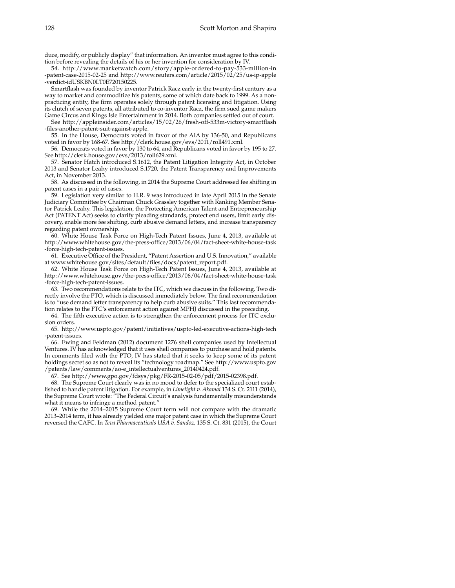duce, modify, or publicly display" that information. An inventor must agree to this condition before revealing the details of his or her invention for consideration by IV.

54. http:// www .marketwatch .com/ story/ apple- ordered- to-pay- 533-million- in -patent-case-2015-02-25 and http://www.reuters.com/article/2015/02/25/us-ip-apple - verdict- idUSKBN0LT0E720150225.

Smartflash was founded by inventor Patrick Racz early in the twenty- first century as a way to market and commoditize his patents, some of which date back to 1999. As a nonpracticing entity, the firm operates solely through patent licensing and litigation. Using its clutch of seven patents, all attributed to co-inventor Racz, the firm sued game makers Game Circus and Kings Isle Entertainment in 2014. Both companies settled out of court.

See http://appleinsider.com/articles/15/02/26/fresh-off-533m-victory-smartflash -files-another-patent-suit-against-apple.

55. In the House, Democrats voted in favor of the AIA by 136-50, and Republicans voted in favor by 168-67. See http:// clerk.house .gov/ evs/ 2011/ roll491.xml.

56. Democrats voted in favor by 130 to 64, and Republicans voted in favor by 195 to 27. See http:// clerk.house .gov/ evs/ 2013/ roll629.xml.

57. Senator Hatch introduced S.1612, the Patent Litigation Integrity Act, in October 2013 and Senator Leahy introduced S.1720, the Patent Transparency and Improvements Act, in November 2013.

58. As discussed in the following, in 2014 the Supreme Court addressed fee shifting in patent cases in a pair of cases.

59. Legislation very similar to H.R. 9 was introduced in late April 2015 in the Senate Judiciary Committee by Chairman Chuck Grassley together with Ranking Member Senator Patrick Leahy. This legislation, the Protecting American Talent and Entrepreneurship Act (PATENT Act) seeks to clarify pleading standards, protect end users, limit early discovery, enable more fee shifting, curb abusive demand letters, and increase transparency regarding patent ownership.

60. White House Task Force on High- Tech Patent Issues, June 4, 2013, available at http://www.whitehouse.gov/the-press-office/2013/06/04/fact-sheet-white-house-task -force-high-tech-patent-issues.

61. Executive Office of the President, "Patent Assertion and U.S. Innovation," available at www.whitehouse.gov/sites/default/files/docs/patent\_report.pdf.

62. White House Task Force on High- Tech Patent Issues, June 4, 2013, available at http://www.whitehouse.gov/the-press-office/2013/06/04/fact-sheet-white-house-task - force- high- tech- patent- issues.

63. Two recommendations relate to the ITC, which we discuss in the following. Two directly involve the PTO, which is discussed immediately below. The final recommendation is to "use demand letter transparency to help curb abusive suits." This last recommendation relates to the FTC's enforcement action against MPHJ discussed in the preceding.

64. The fifth executive action is to strengthen the enforcement process for ITC exclusion orders.

65. http:// www .uspto .gov/ patent/ initiatives/ uspto- led- executive- actions- high- tech -patent-issues.

66. Ewing and Feldman (2012) document 1276 shell companies used by Intellectual Ventures. IV has acknowledged that it uses shell companies to purchase and hold patents. In comments filed with the PTO, IV has stated that it seeks to keep some of its patent holdings secret so as not to reveal its "technology roadmap." See http:// www .uspto .gov /patents/law/comments/ao-e\_intellectualventures\_20140424.pdf.

67. See http:// www .gpo .gov/ fdsys/ pkg/ FR-2015-02-05/ pdf/ 2015-02398 .pdf.

68. The Supreme Court clearly was in no mood to defer to the specialized court established to handle patent litigation. For example, in *Limelight v. Akamai* 134 S. Ct. 2111 (2014), the Supreme Court wrote: "The Federal Circuit's analysis fundamentally misunderstands what it means to infringe a method patent."

69. While the 2014– 2015 Supreme Court term will not compare with the dramatic 2013– 2014 term, it has already yielded one major patent case in which the Supreme Court reversed the CAFC. In *Teva Pharmaceuticals USA v. Sandoz,* 135 S. Ct. 831 (2015), the Court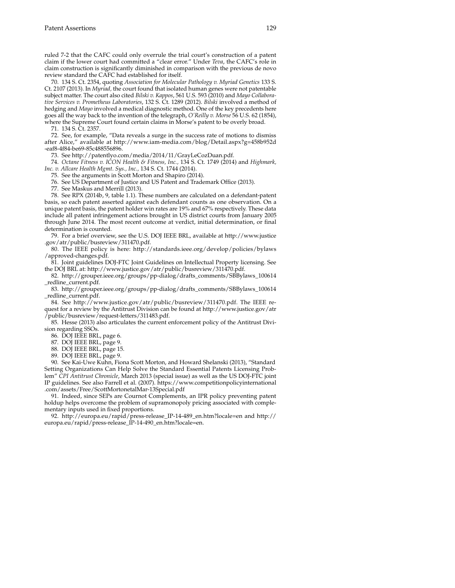ruled 7-2 that the CAFC could only overrule the trial court's construction of a patent claim if the lower court had committed a "clear error." Under *Teva*, the CAFC's role in claim construction is significantly diminished in comparison with the previous de novo review standard the CAFC had established for itself.

70. 134 S. Ct. 2354, quoting *Association for Molecular Pathology v. Myriad Genetics* 133 S. Ct. 2107 (2013). In *Myriad,* the court found that isolated human genes were not patentable subject matter. The court also cited *Bilski v. Kappos*, 561 U.S. 593 (2010) and *Mayo Collaborative Services v. Prometheus Laboratories*, 132 S. Ct. 1289 (2012). *Bilski* involved a method of hedging and *Mayo* involved a medical diagnostic method. One of the key precedents here goes all the way back to the invention of the telegraph, *O'Reilly v. Morse* 56 U.S. 62 (1854), where the Supreme Court found certain claims in Morse's patent to be overly broad.

71. 134 S. Ct. 2357.

72. See, for example, "Data reveals a surge in the success rate of motions to dismiss after Alice," available at http:// www .iam- media .com/ blog/ Detail .aspx?g=458b952d -eaf8-4f84-be69-85c488556896.

73. See http:// patentlyo .com/ media/ 2014/ 11/ GrayLeCozDuan .pdf.

74. *Octane Fitness v. ICON Health & Fitness, Inc.,* 134 S. Ct. 1749 (2014) and *Highmark, Inc. v. Allcare Health Mgmt. Sys., Inc.,* 134 S. Ct. 1744 (2014).

75. See the arguments in Scott Morton and Shapiro (2014).

76. See US Department of Justice and US Patent and Trademark Office (2013).

77. See Maskus and Merrill (2013).

78. See RPX (2014b, 9, table 1.1). These numbers are calculated on a defendant-patent basis, so each patent asserted against each defendant counts as one observation. On a unique patent basis, the patent holder win rates are 19% and 67% respectively. These data include all patent infringement actions brought in US district courts from January 2005 through June 2014. The most recent outcome at verdict, initial determination, or final determination is counted.

79. For a brief overview, see the U.S. DOJ IEEE BRL, available at http:// www .justice .gov/ atr/ public/ busreview/ 311470 .pdf.

80. The IEEE policy is here: http:// standards.ieee .org/ develop/ policies/ bylaws /approved-changes.pdf.

81. Joint guidelines DOJ-FTC Joint Guidelines on Intellectual Property licensing. See the DOJ BRL at: http://www.justice.gov/atr/public/busreview/311470.pdf.

82. http:// grouper.ieee .org/ groups/ pp- dialog/ drafts\_comments/ SBBylaws\_100614 \_redline\_current .pdf.

83. http:// grouper.ieee .org/ groups/ pp- dialog/ drafts\_comments/ SBBylaws\_100614 \_redline\_current .pdf.

84. See http:// www .justice .gov/ atr/ public/ busreview/ 311470 .pdf. The IEEE request for a review by the Antitrust Division can be found at http://www.justice.gov/atr / public/ busreview/ request- letters/ 311483 .pdf.

85. Hesse (2013) also articulates the current enforcement policy of the Antitrust Division regarding SSOs.

86. DOJ IEEE BRL, page 6.

87. DOJ IEEE BRL, page 9.

88. DOJ IEEE BRL, page 15.

89. DOJ IEEE BRL, page 9.

90. See Kai- Uwe Kuhn, Fiona Scott Morton, and Howard Shelanski (2013), "Standard Setting Organizations Can Help Solve the Standard Essential Patents Licensing Problem" CPI Antitrust Chronicle, March 2013 (special issue) as well as the US DOJ-FTC joint IP guidelines. See also Farrell et al. (2007). https://www.competitionpolicyinternational .com/assets/Free/ScottMortonetalMar-13Special.pdf

91. Indeed, since SEPs are Cournot Complements, an IPR policy preventing patent holdup helps overcome the problem of supramonopoly pricing associated with complementary inputs used in fixed proportions.

92. http:// europa.eu/ rapid/ press- release\_IP- 14-489\_en .htm?locale=en and http:// europa.eu/rapid/press-release\_IP-14-490\_en.htm?locale=en.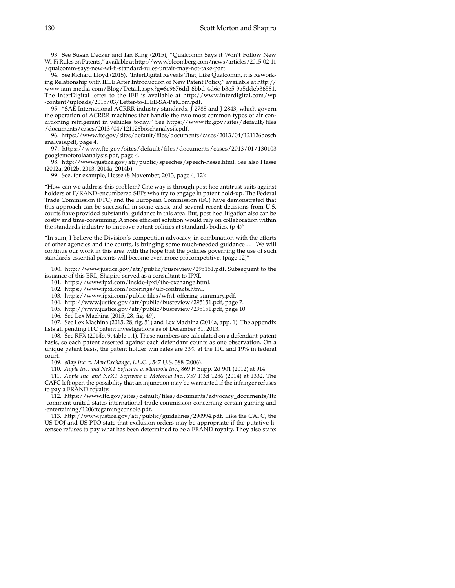93. See Susan Decker and Ian King (2015), "Qualcomm Says it Won't Follow New Wi- Fi Rules on Patents," available at http:// www .bloomberg .com/ news/ articles/ 2015-02-11  $\verb|/qualcomm-says-new-wi-fi-standard-rules-unfair-many-not-take-part.$ 

94. See Richard Lloyd (2015), "InterDigital Reveals That, Like Qualcomm, it is Reworking Relationship with IEEE After Introduction of New Patent Policy," available at http:// www .iam- media .com/ Blog/ Detail .aspx?g=8c9676dd- 6bbd- 4d6c- b3e5-9a5ddeb36581. The InterDigital letter to the IEE is available at http:// www .interdigital .com/ wp -content/uploads/2015/03/Letter-to-IEEE-SA-PatCom.pdf.

95. "SAE International ACRRR industry standards, J-2788 and J-2843, which govern the operation of ACRRR machines that handle the two most common types of air conditioning refrigerant in vehicles today." See https:// www .ftc .gov/ sites/ default/ files / documents/ cases/ 2013/ 04/ 121126boschanalysis .pdf.

96. https:// www .ftc .gov/ sites/ default/ files/ documents/ cases/ 2013/ 04/ 121126bosch analysis .pdf, page 4.

97. https:// www .ftc .gov/ sites/ default/ files/ documents/ cases/ 2013/ 01/ 130103 googlemotorolaanalysis .pdf, page 4.

98. http:// www .justice .gov/ atr/ public/ speeches/ speech- hesse .html. See also Hesse (2012a, 2012b, 2013, 2014a, 2014b).

99. See, for example, Hesse (8 November, 2013, page 4, 12):

"How can we address this problem? One way is through post hoc antitrust suits against holders of F/RAND-encumbered SEPs who try to engage in patent hold-up. The Federal Trade Commission (FTC) and the European Commission (EC) have demonstrated that this approach can be successful in some cases, and several recent decisions from U.S. courts have provided substantial guidance in this area. But, post hoc litigation also can be costly and time-consuming. A more efficient solution would rely on collaboration within the standards industry to improve patent policies at standards bodies. (p 4)

"In sum, I believe the Division's competition advocacy, in combination with the efforts of other agencies and the courts, is bringing some much-needed guidance . . . We will continue our work in this area with the hope that the policies governing the use of such standards- essential patents will become even more procompetitive. (page 12)"

100. http:// www .justice .gov/ atr/ public/ busreview/ 295151 .pdf. Subsequent to the issuance of this BRL, Shapiro served as a consultant to IPXI.

101. https:// www .ipxi .com/ inside- ipxi/ the- exchange .html.

102. https:// www .ipxi .com/ offerings/ ulr- contracts .html.

103. https:// www .ipxi .com/ public- files/ wfn1-offering- summary .pdf.

104. http:// www .justice .gov/ atr/ public/ busreview/ 295151 .pdf, page 7.

105. http:// www .justice .gov/ atr/ public/ busreview/ 295151 .pdf, page 10.

106. See Lex Machina (2015, 28, fig. 49).

107. See Lex Machina (2015, 28, fig. 51) and Lex Machina (2014a, app. 1). The appendix lists all pending ITC patent investigations as of December 31, 2013.

108. See RPX (2014b, 9, table 1.1). These numbers are calculated on a defendant- patent basis, so each patent asserted against each defendant counts as one observation. On a unique patent basis, the patent holder win rates are 33% at the ITC and 19% in federal court.

109. *eBay Inc. v. MercExchange, L.L.C.* , 547 U.S. 388 (2006).

110. *Apple Inc. and NeXT Software v. Motorola Inc*., 869 F. Supp. 2d 901 (2012) at 914.

111. *Apple Inc. and NeXT Software v. Motorola Inc*., 757 F.3d 1286 (2014) at 1332. The CAFC left open the possibility that an injunction may be warranted if the infringer refuses to pay a FRAND royalty.

112. https:// www .ftc .gov/ sites/ default/ files/ documents/ advocacy\_documents/ ftc - comment- united- states- international- trade- commission- concerning- certain- gaming- and -entertaining/1206ftcgamingconsole.pdf.

113. http:// www .justice .gov/ atr/ public/ guidelines/ 290994 .pdf. Like the CAFC, the US DOJ and US PTO state that exclusion orders may be appropriate if the putative licensee refuses to pay what has been determined to be a FRAND royalty. They also state: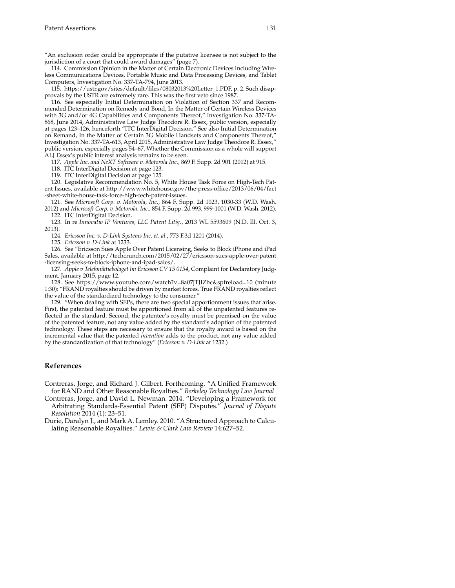"An exclusion order could be appropriate if the putative licensee is not subject to the jurisdiction of a court that could award damages" (page 7).

114. Commission Opinion in the Matter of Certain Electronic Devices Including Wireless Communications Devices, Portable Music and Data Processing Devices, and Tablet Computers, Investigation No. 337-TA-794, June 2013.

115. https:// ustr .gov/ sites/ default/ files/ 08032013%20Letter\_1.PDF, p. 2. Such disapprovals by the USTR are extremely rare. This was the first veto since 1987.

116. See especially Initial Determination on Violation of Section 337 and Recommended Determination on Remedy and Bond, In the Matter of Certain Wireless Devices with 3G and/or 4G Capabilities and Components Thereof," Investigation No. 337-TA-868, June 2014, Administrative Law Judge Theodore R. Essex, public version, especially at pages 123– 126, henceforth "ITC InterDigital Decision." See also Initial Determination on Remand, In the Matter of Certain 3G Mobile Handsets and Components Thereof," Investigation No. 337-TA- 613, April 2015, Administrative Law Judge Theodore R. Essex," public version, especially pages 54–67. Whether the Commission as a whole will support ALJ Essex's public interest analysis remains to be seen.

117. *Apple Inc. and NeXT Software v. Motorola Inc.,* 869 F. Supp. 2d 901 (2012) at 915.

118. ITC InterDigital Decision at page 123.

119. ITC InterDigital Decision at page 125.

120. Legislative Recommendation No. 5, White House Task Force on High- Tech Patent Issues, available at http://www.whitehouse.gov/the-press-office/2013/06/04/fact - sheet-white-house-task-force-high-tech-patent-issues.

121. See *Microsoft Corp. v. Motorola, Inc.,* 864 F. Supp. 2d 1023, 1030-33 (W.D. Wash. 2012) and *Microsoft Corp. v. Motorola, Inc.,* 854 F. Supp. 2d 993, 999-1001 (W.D. Wash. 2012). 122. ITC InterDigital Decision.

123. In re *Innovatio IP Ventures, LLC Patent Litig.,* 2013 WL 5593609 (N.D. Ill. Oct. 3, 2013).

124. *Ericsson Inc. v. D-Link Systems Inc. et. al.*, 773 F.3d 1201 (2014).

125. *Ericsson v. D-Link* at 1233.

126. See "Ericsson Sues Apple Over Patent Licensing, Seeks to Block iPhone and iPad Sales, available at http://techcrunch.com/2015/02/27/ericsson-sues-apple-over-patent -licensing-seeks-to-block-iphone-and-ipad-sales/.

127. *Apple v Telefoniktiebolaget lm Ericsson CV 15 0154*, Complaint for Declaratory Judgment, January 2015, page 12.

128. See https:// www .youtube .com/ watch?v=8a07jTJIZbc&spfreload=10 (minute 1:30): "FRAND royalties should be driven by market forces. True FRAND royalties reflect the value of the standardized technology to the consumer."

129. "When dealing with SEPs, there are two special apportionment issues that arise. First, the patented feature must be apportioned from all of the unpatented features reflected in the standard. Second, the patentee's royalty must be premised on the value of the patented feature, not any value added by the standard's adoption of the patented technology. These steps are necessary to ensure that the royalty award is based on the incremental value that the patented *invention* adds to the product, not any value added by the standardization of that technology" (*Ericsson v. D-Link* at 1232.)

#### **References**

Contreras, Jorge, and Richard J. Gilbert. Forthcoming. "A Unified Framework for RAND and Other Reasonable Royalties." *Berkeley Technology Law Journal*

Contreras, Jorge, and David L. Newman. 2014. "Developing a Framework for Arbitrating Standards- Essential Patent (SEP) Disputes." *Journal of Dispute Resolution* 2014 (1): 23-51.

Durie, Daralyn J., and Mark A. Lemley. 2010. "A Structured Approach to Calculating Reasonable Royalties." Lewis & Clark Law Review 14:627-52.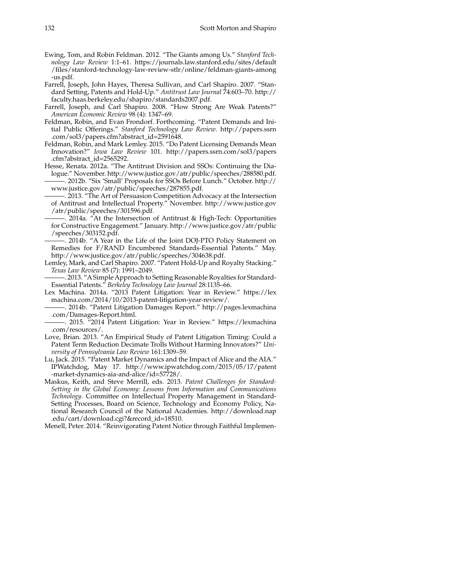- Ewing, Tom, and Robin Feldman. 2012. "The Giants among Us." *Stanford Technology Law Review* 1:1– 61. https:// journals.law.stanford .edu/ sites/ default / files/ stanford- technology- law- review- stlr/ online/ feldman- giants- among -us.pdf.
- Farrell, Joseph, John Hayes, Theresa Sullivan, and Carl Shapiro. 2007. "Standard Setting, Patents and Hold-Up." Antitrust Law Journal 74:603-70. http:// faculty.haas.berkeley .edu/ shapiro/ standards2007 .pdf.
- Farrell, Joseph, and Carl Shapiro. 2008. "How Strong Are Weak Patents?" *American Economic Review* 98 (4): 1347– 69.
- Feldman, Robin, and Evan Frondorf. Forthcoming. "Patent Demands and Initial Public Offerings." *Stanford Technology Law Review*. http:// papers.ssrn .com/ sol3/ papers .cfm?abstract\_id=2591648.
- Feldman, Robin, and Mark Lemley. 2015. "Do Patent Licensing Demands Mean Innovation?" *Iowa Law Review* 101. http:// papers.ssrn .com/ sol3/ papers .cfm?abstract\_id=2565292.
- Hesse, Renata. 2012a. "The Antitrust Division and SSOs: Continuing the Dialogue." November. http:// www .justice .gov/ atr/ public/ speeches/ 288580 .pdf. ———. 2012b. "Six 'Small' Proposals for SSOs Before Lunch." October. http://
- www .justice .gov/ atr/ public/ speeches/ 287855 .pdf. . 2013. "The Art of Persuasion Competition Advocacy at the Intersection of Antitrust and Intellectual Property." November. http:// www .justice .gov / atr/ public/ speeches/ 301596 .pdf.
- ———. 2014a. "At the Intersection of Antitrust & High- Tech: Opportunities for Constructive Engagement." January. http:// www .justice .gov/ atr/ public / speeches/ 303152 .pdf.
- . 2014b. "A Year in the Life of the Joint DOJ-PTO Policy Statement on Remedies for F/RAND Encumbered Standards-Essential Patents." May. http:// www .justice .gov/ atr/ public/ speeches/ 304638 .pdf.
- Lemley, Mark, and Carl Shapiro. 2007. "Patent Hold-Up and Royalty Stacking." *Texas Law Review* 85 (7): 1991– 2049.
- ———. 2013. "A Simple Approach to Setting Reasonable Royalties for Standard-Essential Patents." *Berkeley Technology Law Journal* 28:1135– 66.
- Lex Machina. 2014a. "2013 Patent Litigation: Year in Review." https:// lex machina.com/2014/10/2013-patent-litigation-year-review/.
- ———. 2014b. "Patent Litigation Damages Report." http:// pages.lexmachina .com/ Damages- Report .html.
- -. 2015. "2014 Patent Litigation: Year in Review." https://lexmachina .com/ resources/.
- Love, Brian. 2013. "An Empirical Study of Patent Litigation Timing: Could a Patent Term Reduction Decimate Trolls Without Harming Innovators?" *University of Pennsylvania Law Review* 161:1309–59.
- Lu, Jack. 2015. "Patent Market Dynamics and the Impact of Alice and the AIA." IPWatchdog, May 17. http:// www .ipwatchdog .com/ 2015/ 05/ 17/ patent -market-dynamics-aia-and-alice/id=57728/.
- Maskus, Keith, and Steve Merrill, eds. 2013. *Patent Challenges for Standard-Setting in the Global Economy: Lessons from Information and Communications Technology*. Committee on Intellectual Property Management in Standard-Setting Processes, Board on Science, Technology and Economy Policy, National Research Council of the National Academies. http:// download.nap .edu/ cart/ download.cgi?&record\_id=18510.
- Menell, Peter. 2014. "Reinvigorating Patent Notice through Faithful Implemen-